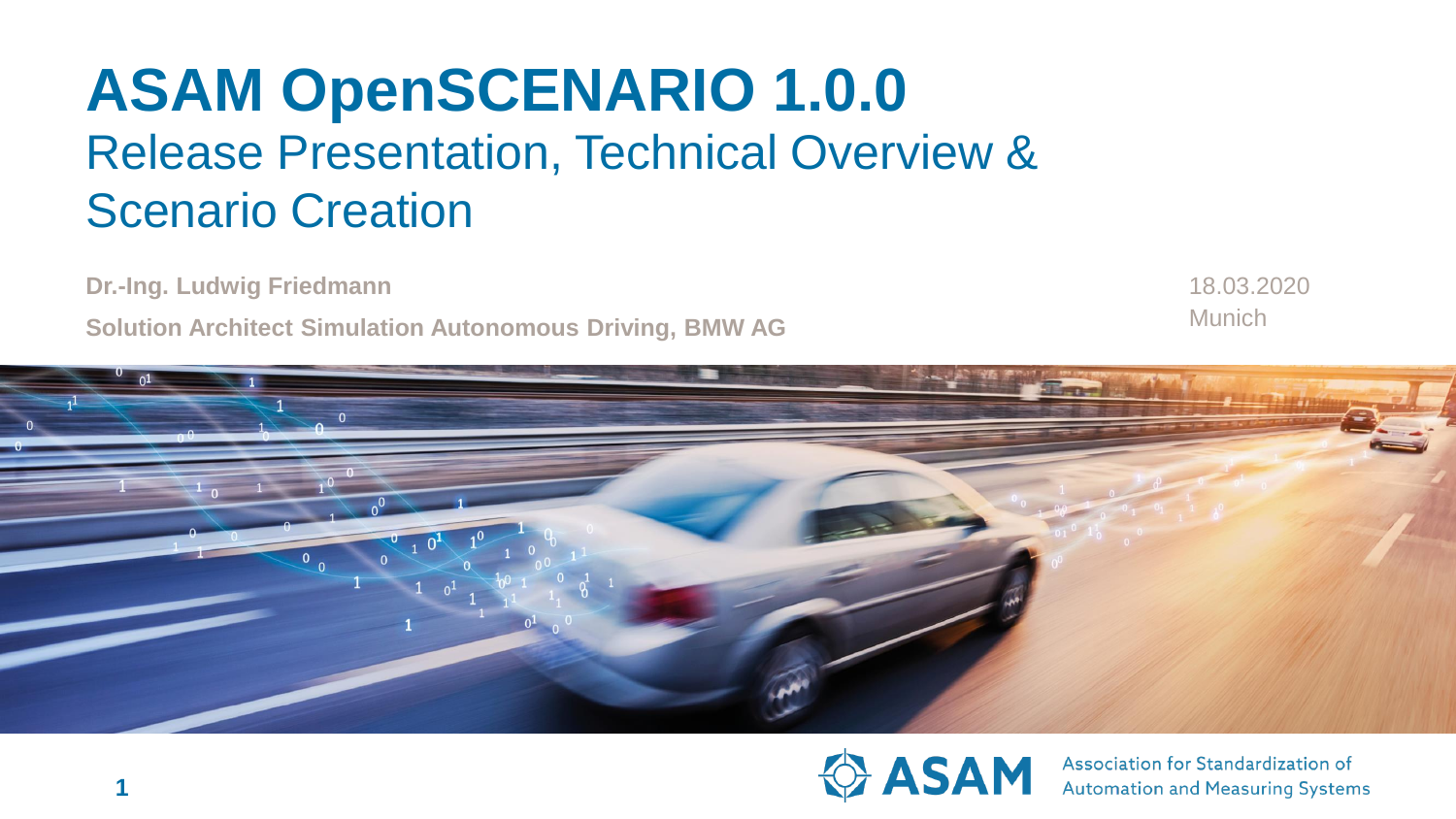# **ASAM OpenSCENARIO 1.0.0** Release Presentation, Technical Overview & Scenario Creation

**Dr.-Ing. Ludwig Friedmann**

**Solution Architect Simulation Autonomous Driving, BMW AG**

Munich 18.03.2020





Association for Standardization of **Automation and Measuring Systems**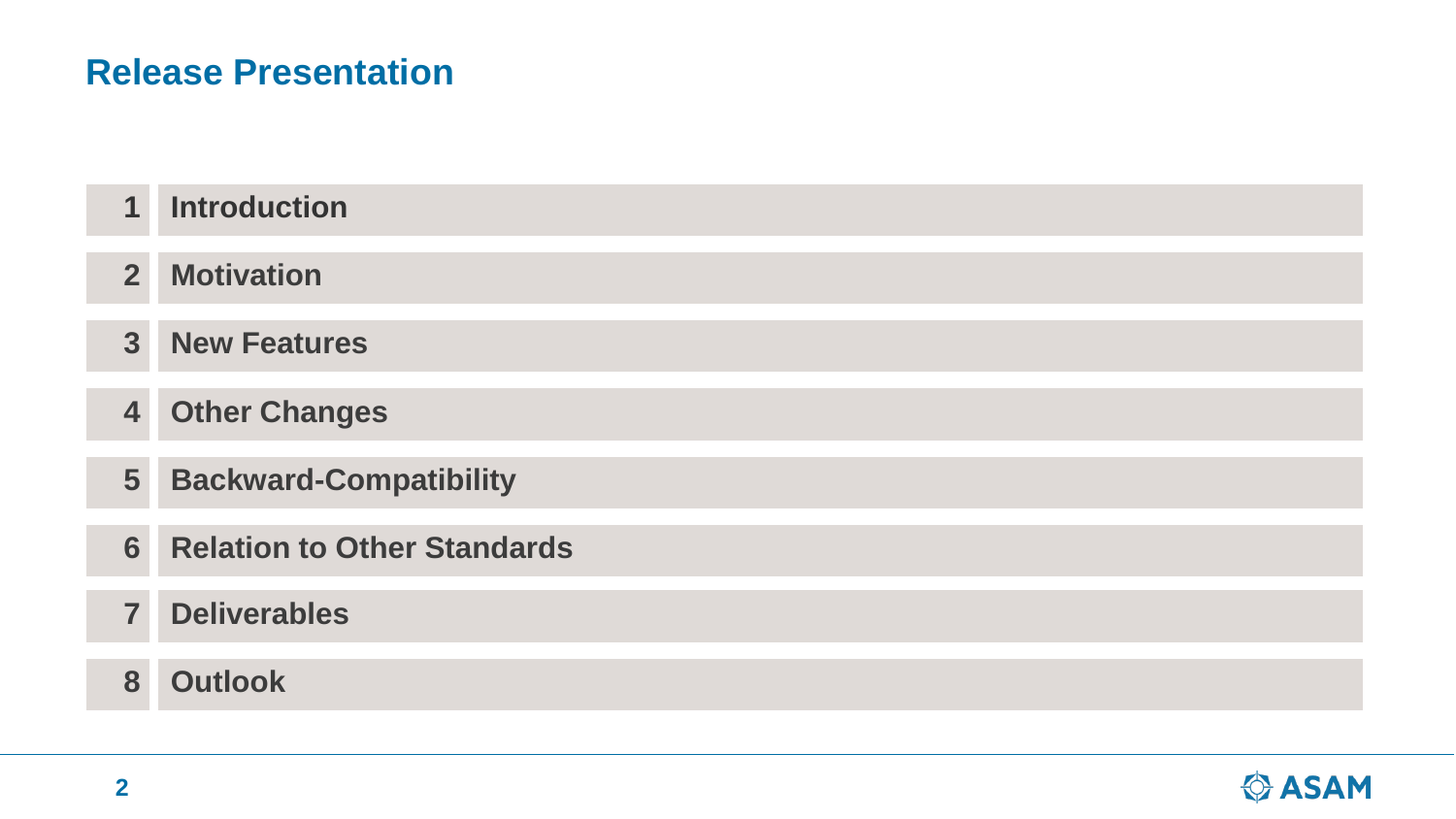### **Release Presentation**

| 1                       | <b>Introduction</b>                |
|-------------------------|------------------------------------|
| $\overline{2}$          | <b>Motivation</b>                  |
| $\overline{3}$          | <b>New Features</b>                |
| $\overline{\mathbf{4}}$ | <b>Other Changes</b>               |
| 5                       | <b>Backward-Compatibility</b>      |
| 6                       | <b>Relation to Other Standards</b> |
| $\overline{7}$          | <b>Deliverables</b>                |
| 8                       | <b>Outlook</b>                     |

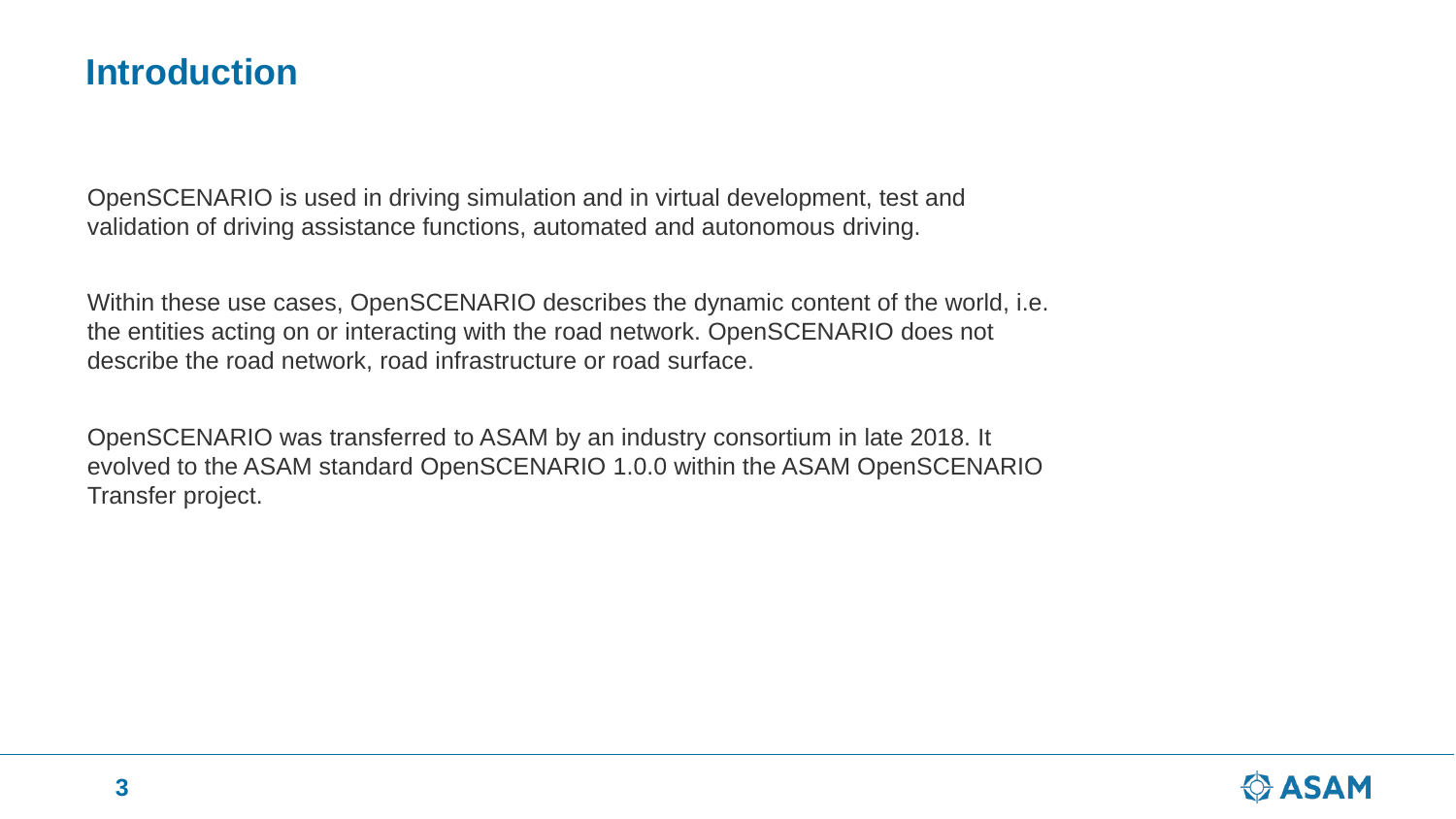### **Introduction**

OpenSCENARIO is used in driving simulation and in virtual development, test and validation of driving assistance functions, automated and autonomous driving.

Within these use cases, OpenSCENARIO describes the dynamic content of the world, i.e. the entities acting on or interacting with the road network. OpenSCENARIO does not describe the road network, road infrastructure or road surface.

OpenSCENARIO was transferred to ASAM by an industry consortium in late 2018. It evolved to the ASAM standard OpenSCENARIO 1.0.0 within the ASAM OpenSCENARIO Transfer project.

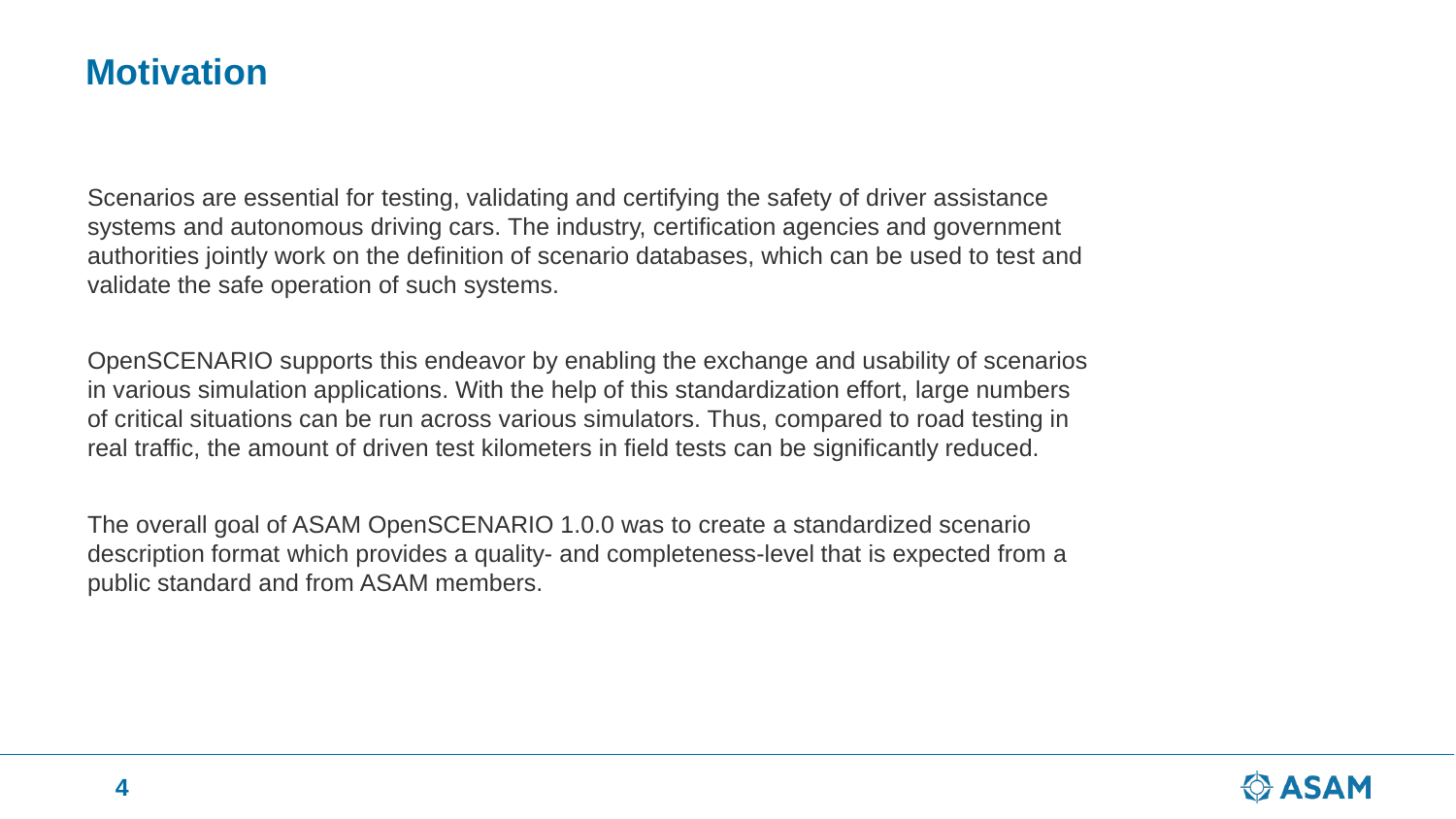### **Motivation**

Scenarios are essential for testing, validating and certifying the safety of driver assistance systems and autonomous driving cars. The industry, certification agencies and government authorities jointly work on the definition of scenario databases, which can be used to test and validate the safe operation of such systems.

OpenSCENARIO supports this endeavor by enabling the exchange and usability of scenarios in various simulation applications. With the help of this standardization effort, large numbers of critical situations can be run across various simulators. Thus, compared to road testing in real traffic, the amount of driven test kilometers in field tests can be significantly reduced.

The overall goal of ASAM OpenSCENARIO 1.0.0 was to create a standardized scenario description format which provides a quality- and completeness-level that is expected from a public standard and from ASAM members.

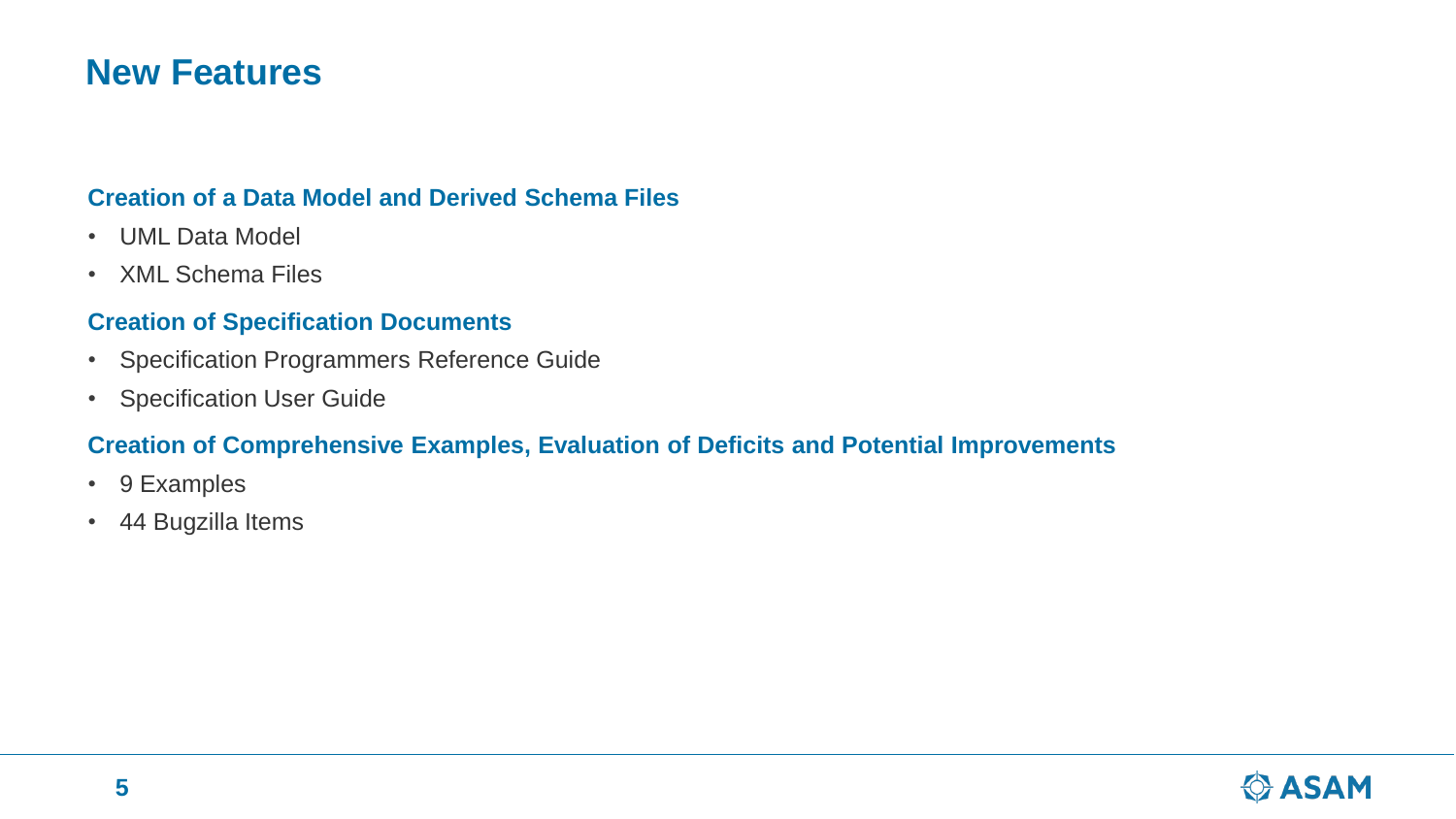### **New Features**

#### **Creation of a Data Model and Derived Schema Files**

- UML Data Model
- XML Schema Files

#### **Creation of Specification Documents**

- Specification Programmers Reference Guide
- Specification User Guide

#### **Creation of Comprehensive Examples, Evaluation of Deficits and Potential Improvements**

- 9 Examples
- 44 Bugzilla Items

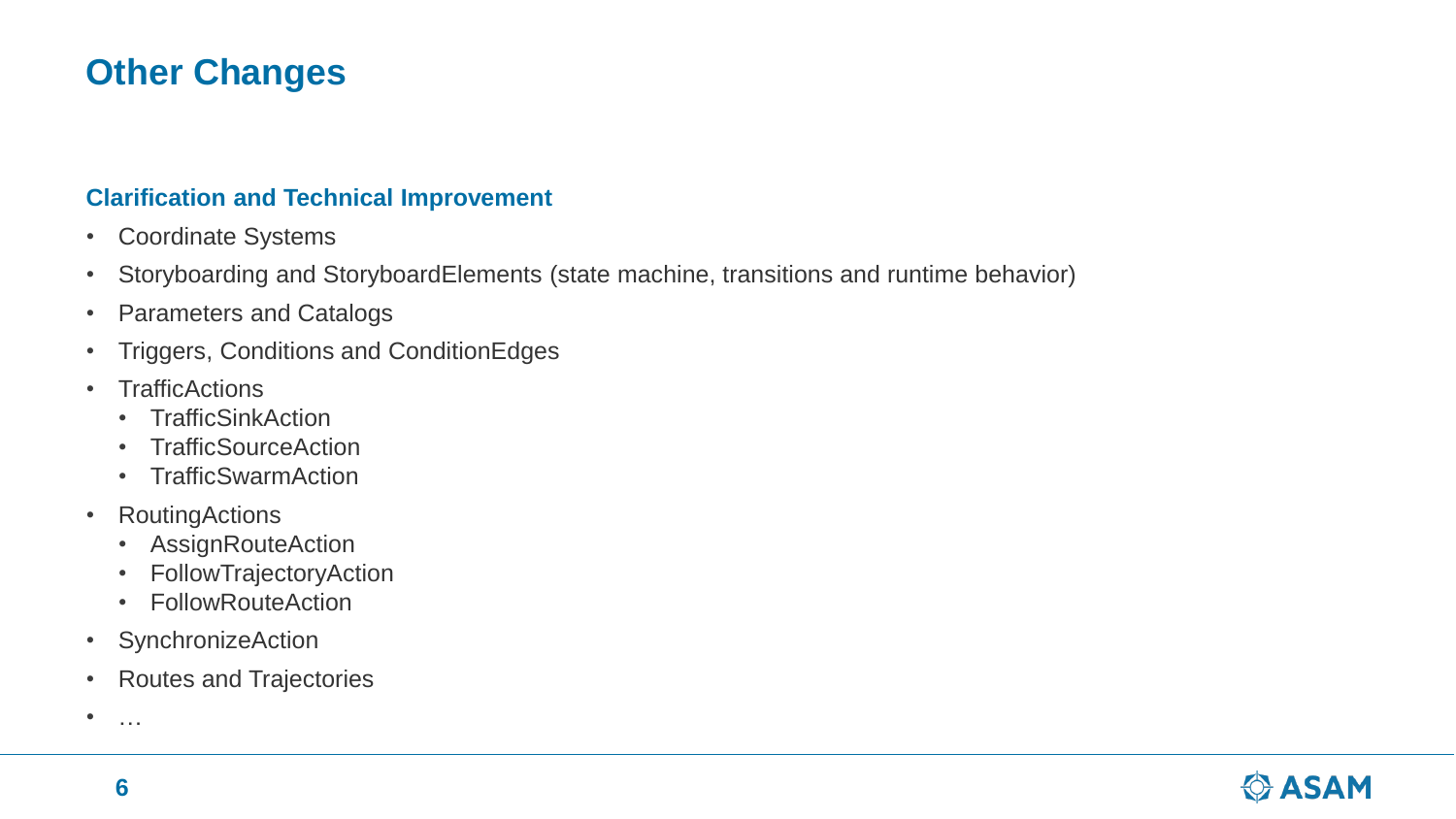# **Other Changes**

#### **Clarification and Technical Improvement**

- Coordinate Systems
- Storyboarding and StoryboardElements (state machine, transitions and runtime behavior)
- Parameters and Catalogs
- Triggers, Conditions and ConditionEdges
- TrafficActions
	- TrafficSinkAction
	- TrafficSourceAction
	- TrafficSwarmAction
- RoutingActions
	- AssignRouteAction
	- FollowTrajectoryAction
	- FollowRouteAction
- SynchronizeAction
- Routes and Trajectories

 $\bullet$  ……

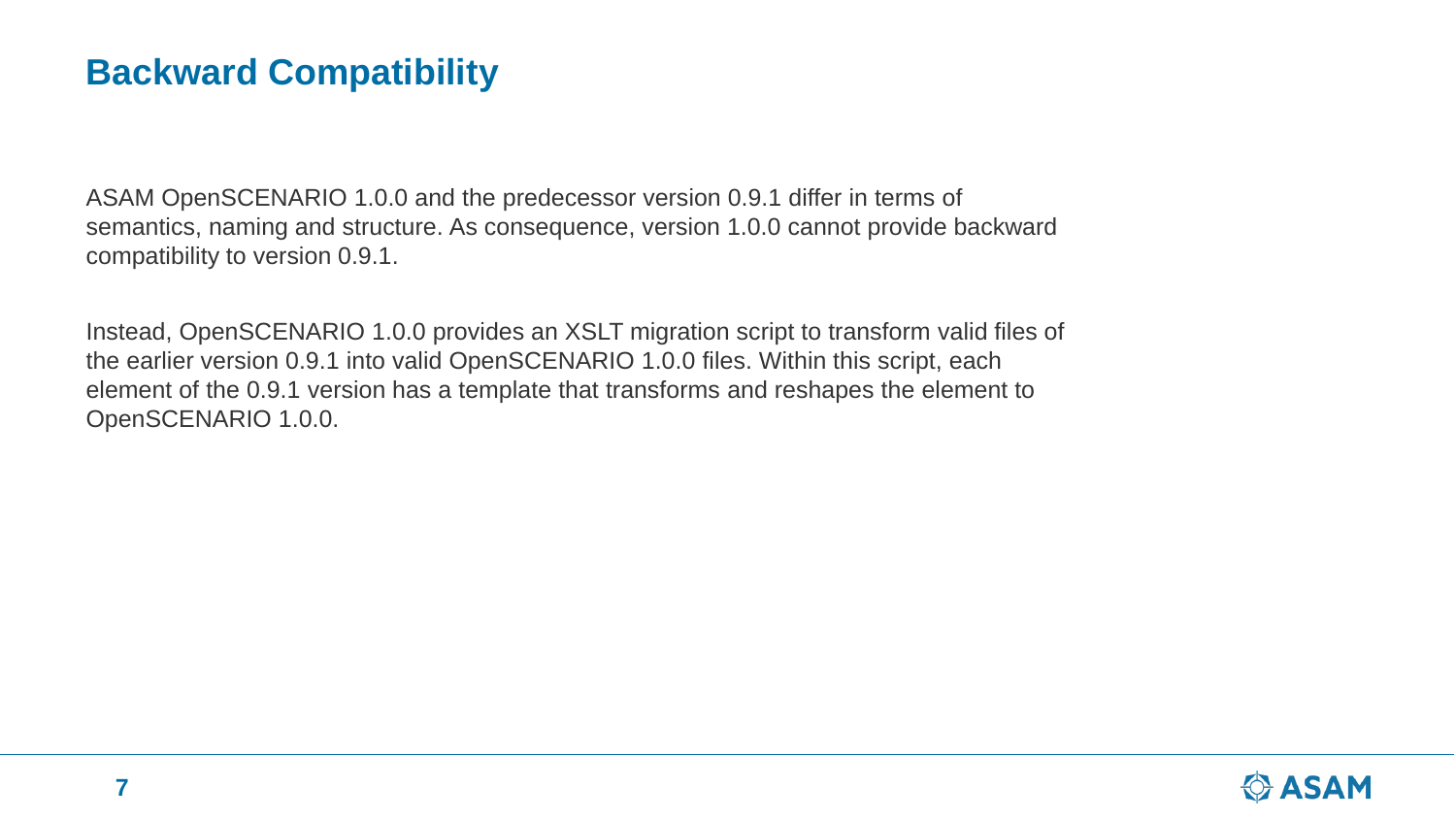# **Backward Compatibility**

ASAM OpenSCENARIO 1.0.0 and the predecessor version 0.9.1 differ in terms of semantics, naming and structure. As consequence, version 1.0.0 cannot provide backward compatibility to version 0.9.1.

Instead, OpenSCENARIO 1.0.0 provides an XSLT migration script to transform valid files of the earlier version 0.9.1 into valid OpenSCENARIO 1.0.0 files. Within this script, each element of the 0.9.1 version has a template that transforms and reshapes the element to OpenSCENARIO 1.0.0.

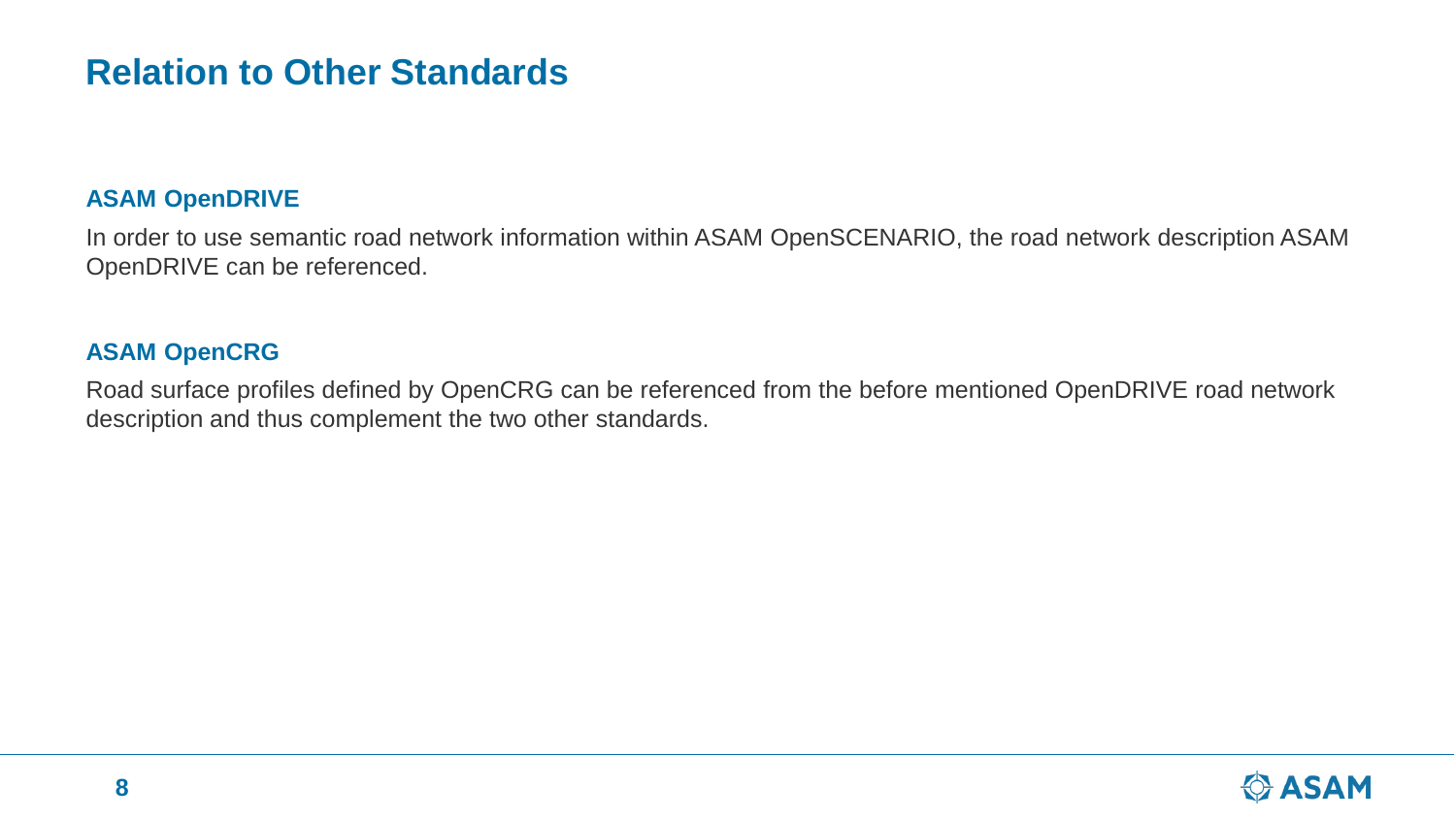## **Relation to Other Standards**

#### **ASAM OpenDRIVE**

In order to use semantic road network information within ASAM OpenSCENARIO, the road network description ASAM OpenDRIVE can be referenced.

#### **ASAM OpenCRG**

Road surface profiles defined by OpenCRG can be referenced from the before mentioned OpenDRIVE road network description and thus complement the two other standards.

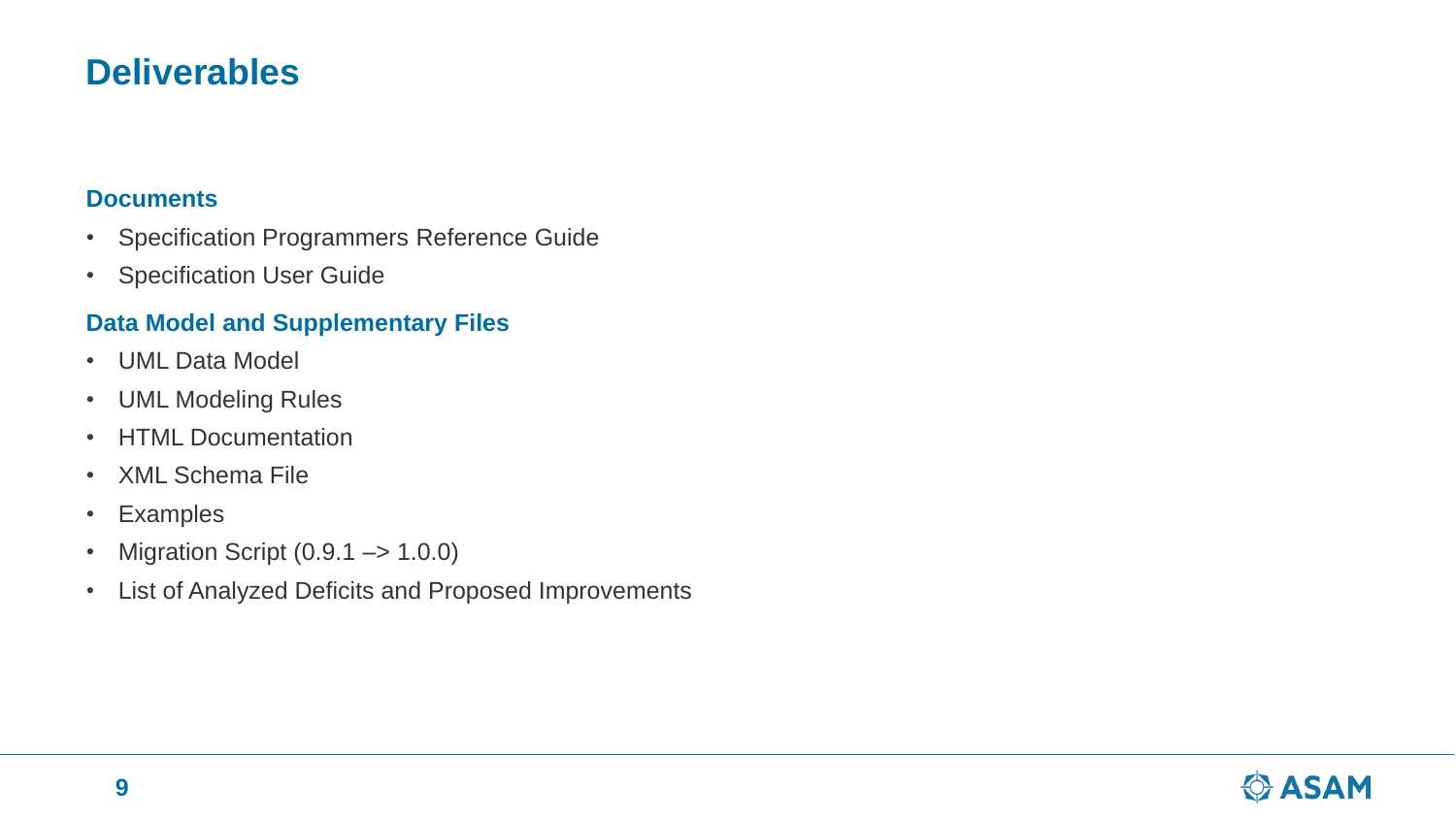### **Deliverables**

#### **Documents**

- Specification Programmers Reference Guide
- Specification User Guide

#### **Data Model and Supplementary Files**

- UML Data Model
- UML Modeling Rules
- HTML Documentation
- XML Schema File
- Examples
- Migration Script  $(0.9.1 \rightarrow 1.0.0)$
- List of Analyzed Deficits and Proposed Improvements

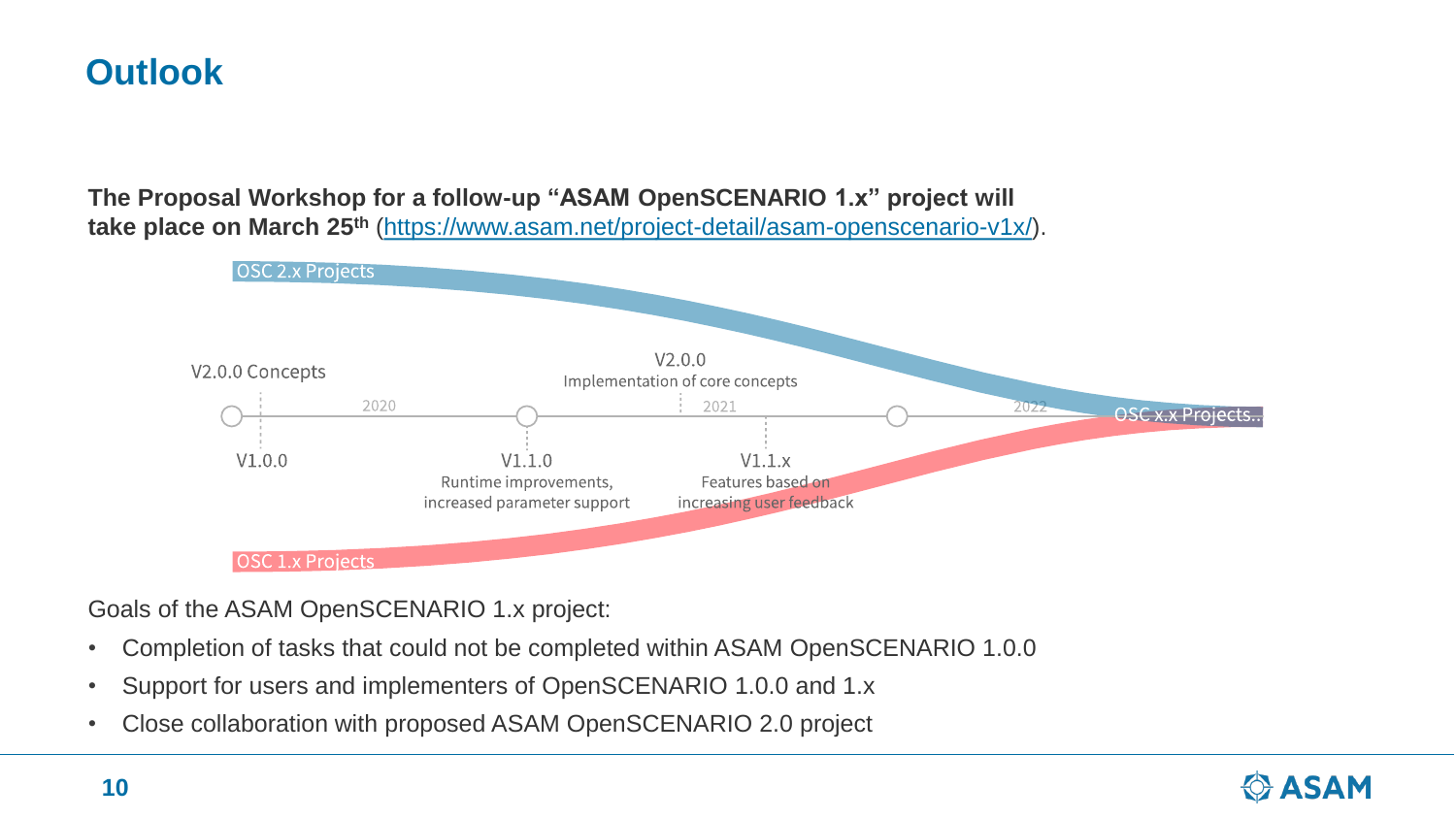# **Outlook**

**The Proposal Workshop for a follow-up "ASAM OpenSCENARIO 1.x" project will take place on March 25th** [\(https://www.asam.net/project-detail/asam-openscenario-v1x/](https://www.asam.net/project-detail/asam-openscenario-v1x/)).



Goals of the ASAM OpenSCENARIO 1.x project:

- Completion of tasks that could not be completed within ASAM OpenSCENARIO 1.0.0
- Support for users and implementers of OpenSCENARIO 1.0.0 and 1.x
- Close collaboration with proposed ASAM OpenSCENARIO 2.0 project

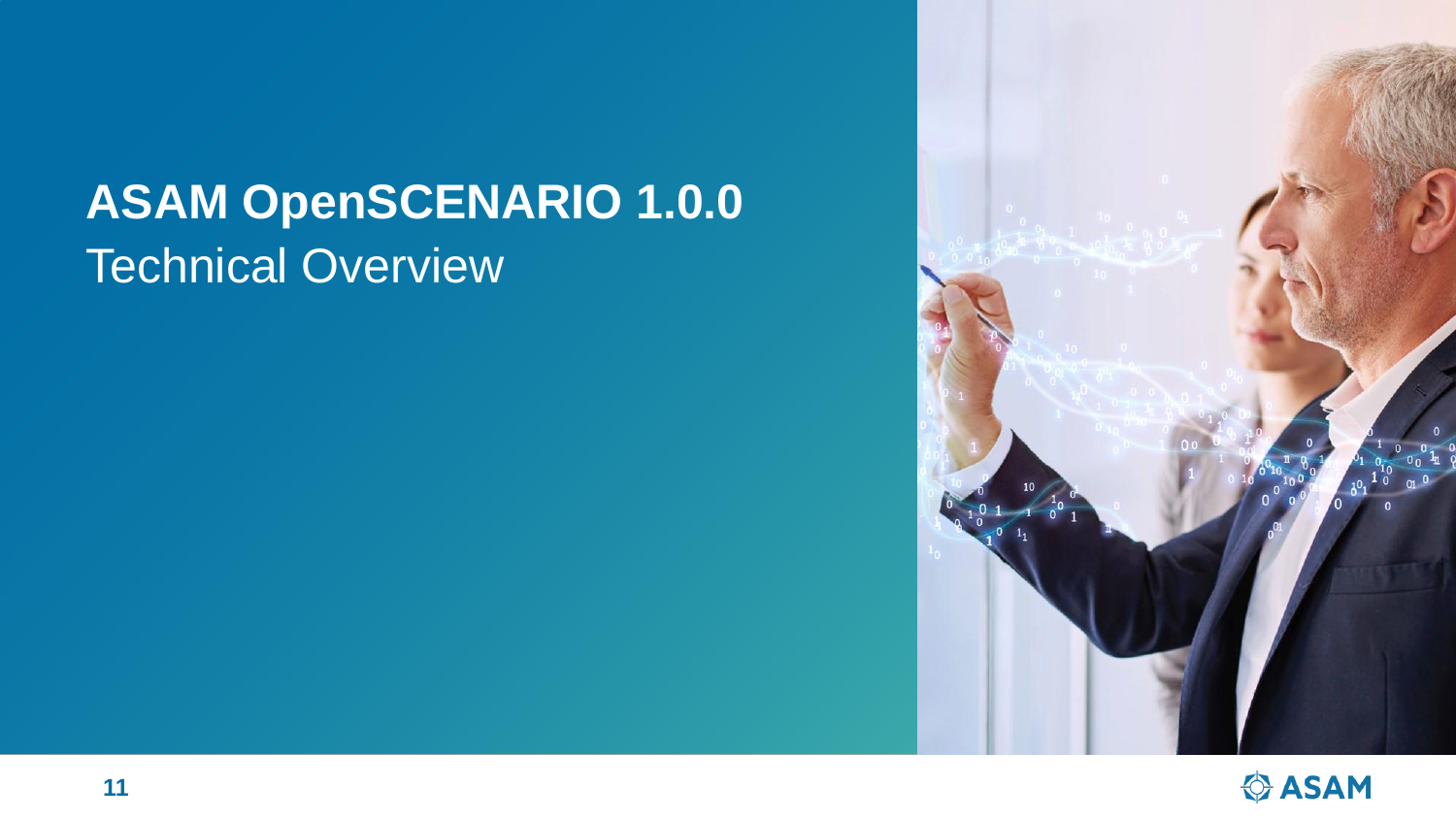# **ASAM OpenSCENARIO 1.0.0** Technical Overview



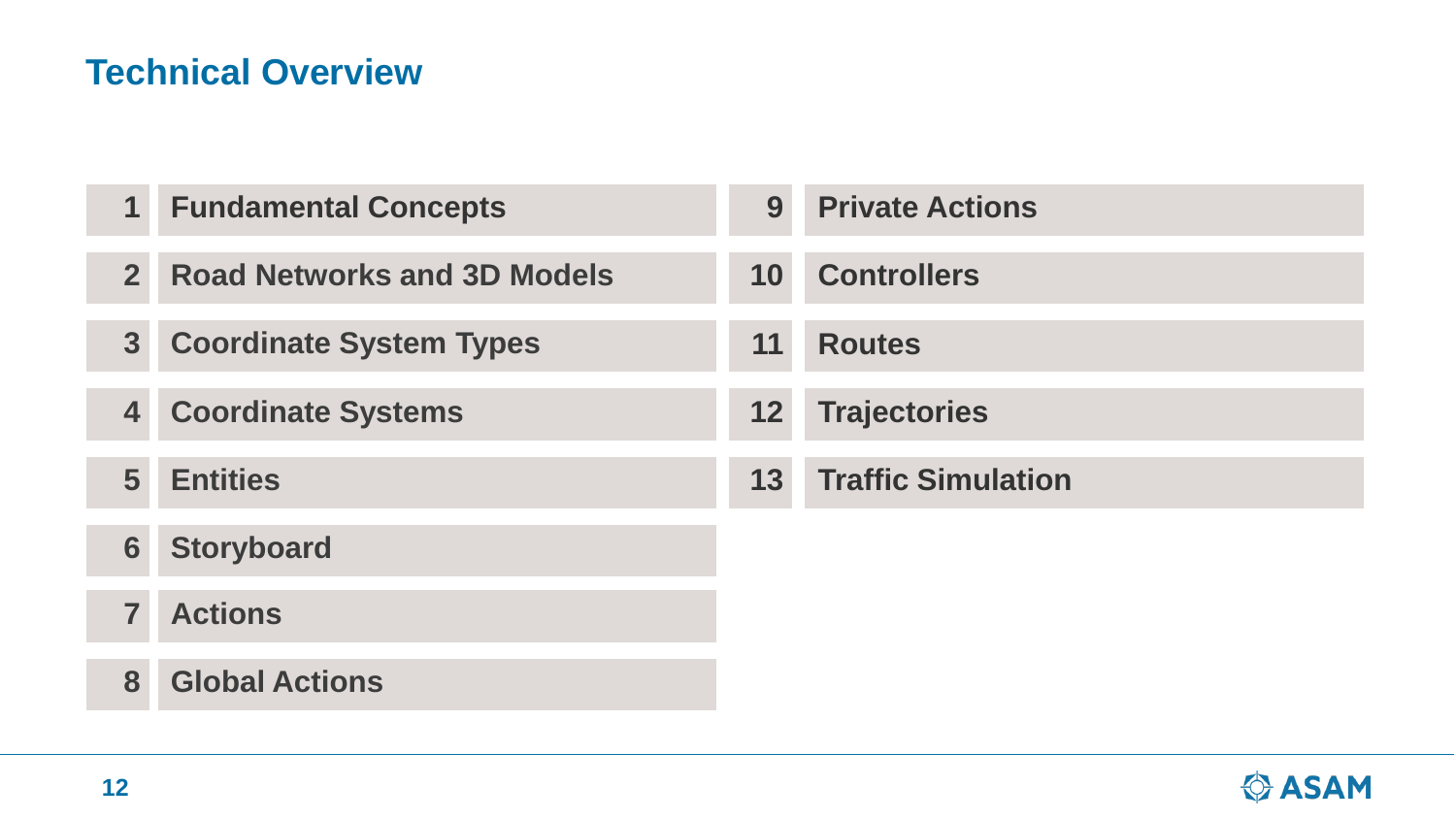# **Technical Overview**

| 1                       | <b>Fundamental Concepts</b>        | 9               | <b>Private Actions</b>    |
|-------------------------|------------------------------------|-----------------|---------------------------|
| 2 <sup>1</sup>          | <b>Road Networks and 3D Models</b> | 10 <sup>1</sup> | <b>Controllers</b>        |
| 3                       | <b>Coordinate System Types</b>     | 11              | <b>Routes</b>             |
| 4                       | <b>Coordinate Systems</b>          | 12 <sub>1</sub> | <b>Trajectories</b>       |
| 5                       | <b>Entities</b>                    | 13 <sup>1</sup> | <b>Traffic Simulation</b> |
| 6                       | <b>Storyboard</b>                  |                 |                           |
| $\overline{\mathbf{7}}$ | <b>Actions</b>                     |                 |                           |
| 8                       | <b>Global Actions</b>              |                 |                           |

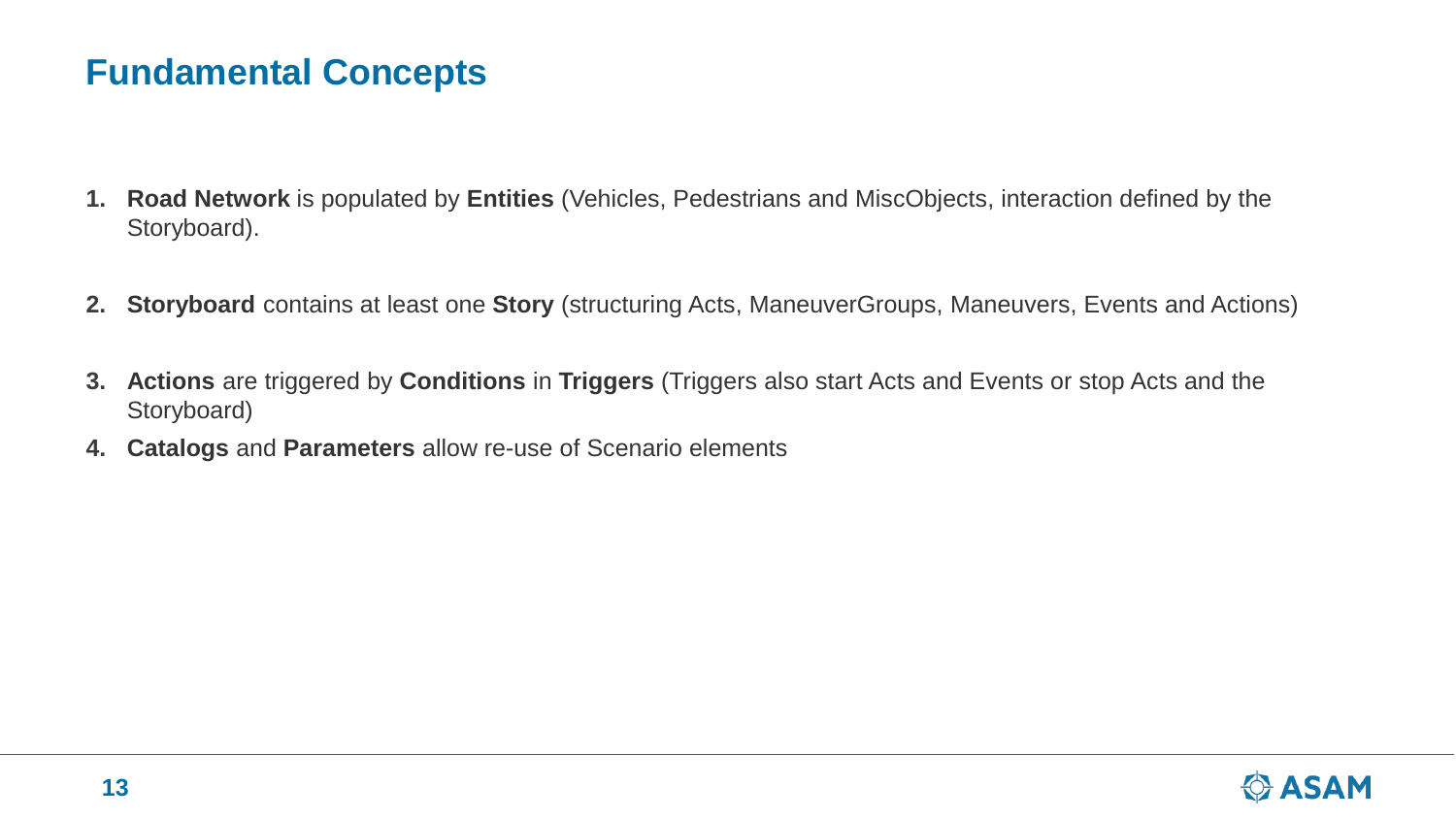# **Fundamental Concepts**

- **1. Road Network** is populated by **Entities** (Vehicles, Pedestrians and MiscObjects, interaction defined by the Storyboard).
- **2. Storyboard** contains at least one **Story** (structuring Acts, ManeuverGroups, Maneuvers, Events and Actions)
- **3. Actions** are triggered by **Conditions** in **Triggers** (Triggers also start Acts and Events or stop Acts and the Storyboard)
- **4. Catalogs** and **Parameters** allow re-use of Scenario elements

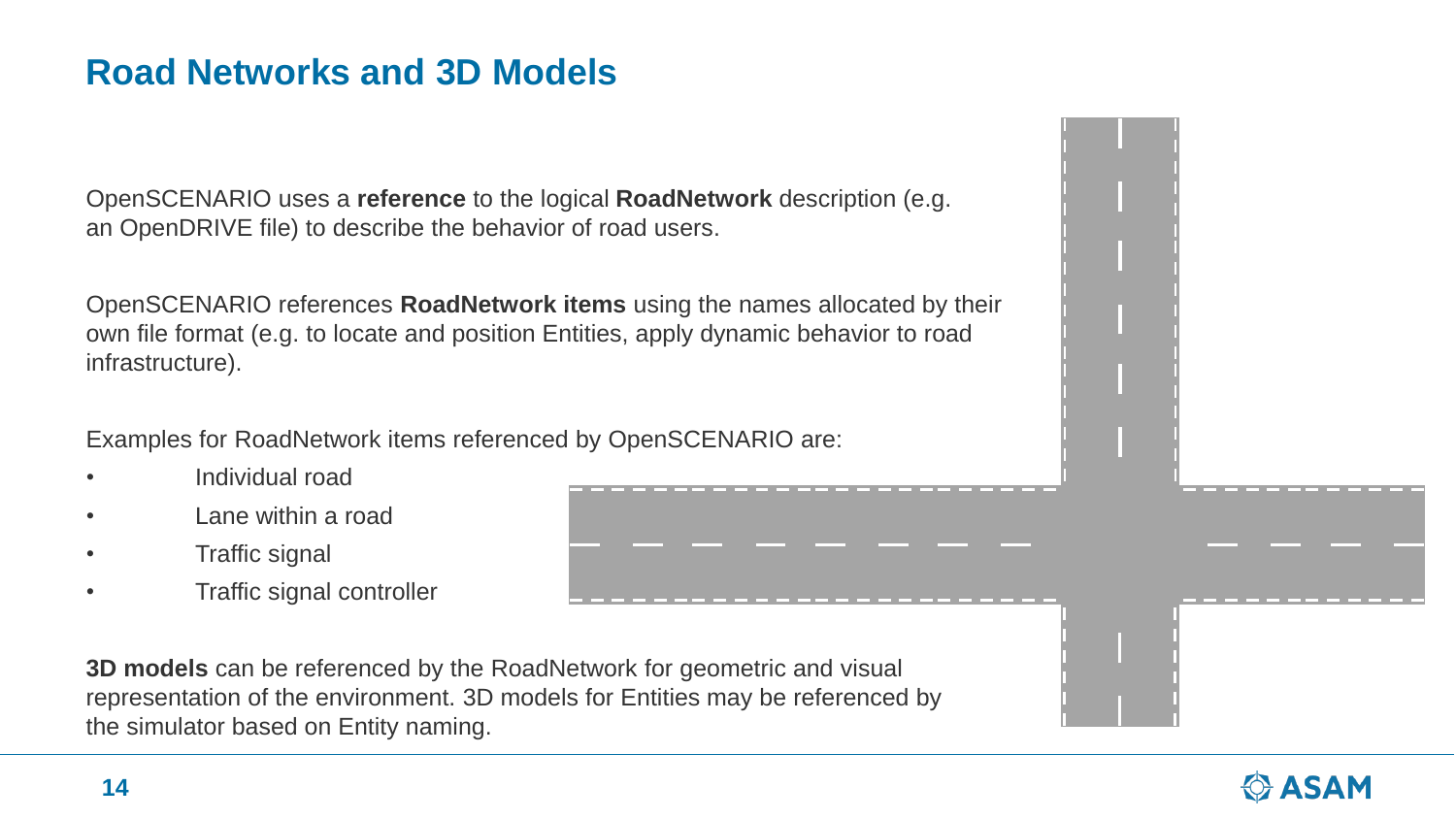# **Road Networks and 3D Models**

OpenSCENARIO uses a **reference** to the logical **RoadNetwork** description (e.g. an OpenDRIVE file) to describe the behavior of road users.

OpenSCENARIO references **RoadNetwork items** using the names allocated by their own file format (e.g. to locate and position Entities, apply dynamic behavior to road infrastructure).

Examples for RoadNetwork items referenced by OpenSCENARIO are:

- Individual road
- Lane within a road
- Traffic signal
- Traffic signal controller

**3D models** can be referenced by the RoadNetwork for geometric and visual representation of the environment. 3D models for Entities may be referenced by the simulator based on Entity naming.



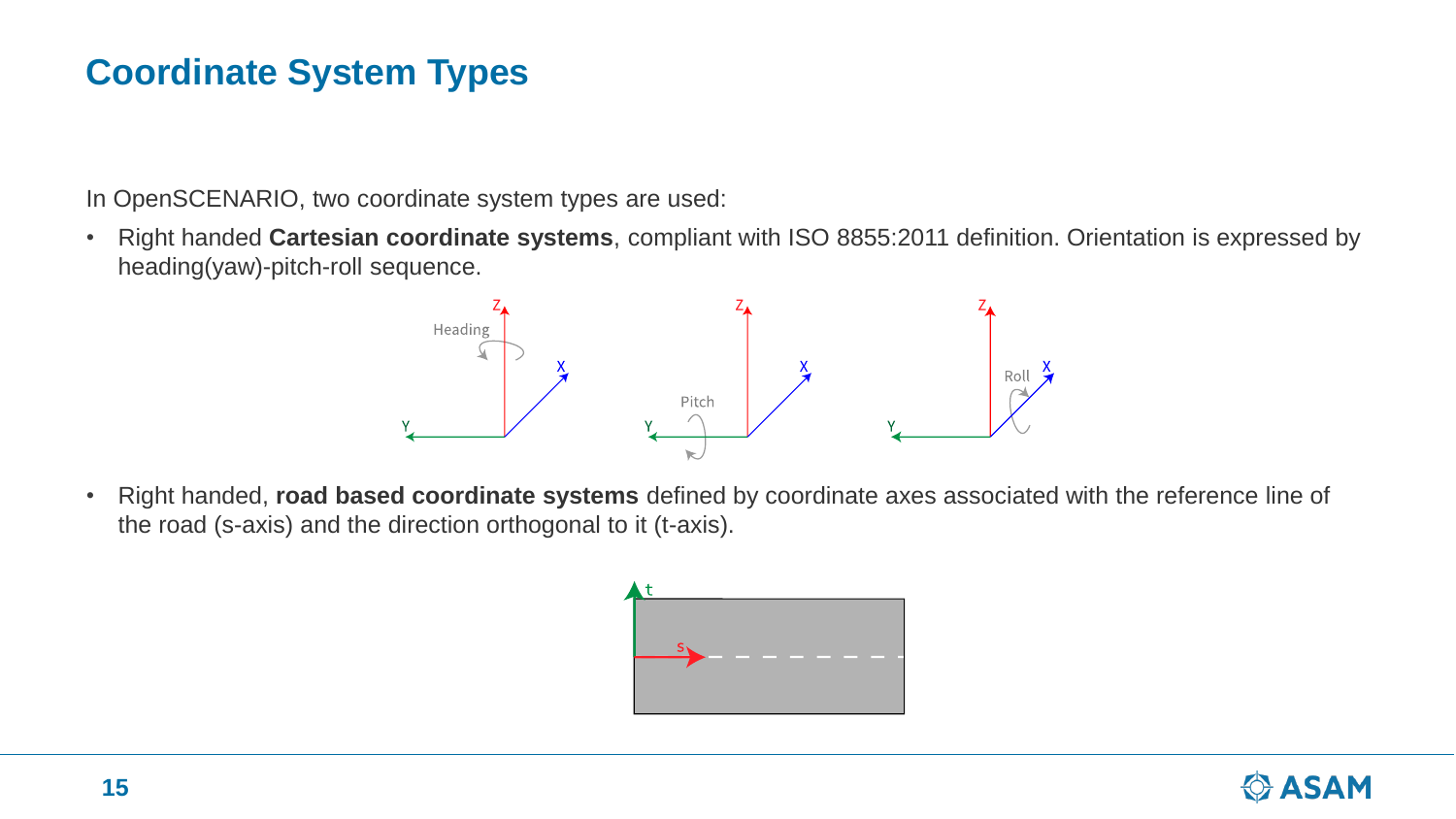# **Coordinate System Types**

In OpenSCENARIO, two coordinate system types are used:

• Right handed **Cartesian coordinate systems**, compliant with ISO 8855:2011 definition. Orientation is expressed by heading(yaw)-pitch-roll sequence.



• Right handed, **road based coordinate systems** defined by coordinate axes associated with the reference line of the road (s-axis) and the direction orthogonal to it (t-axis).



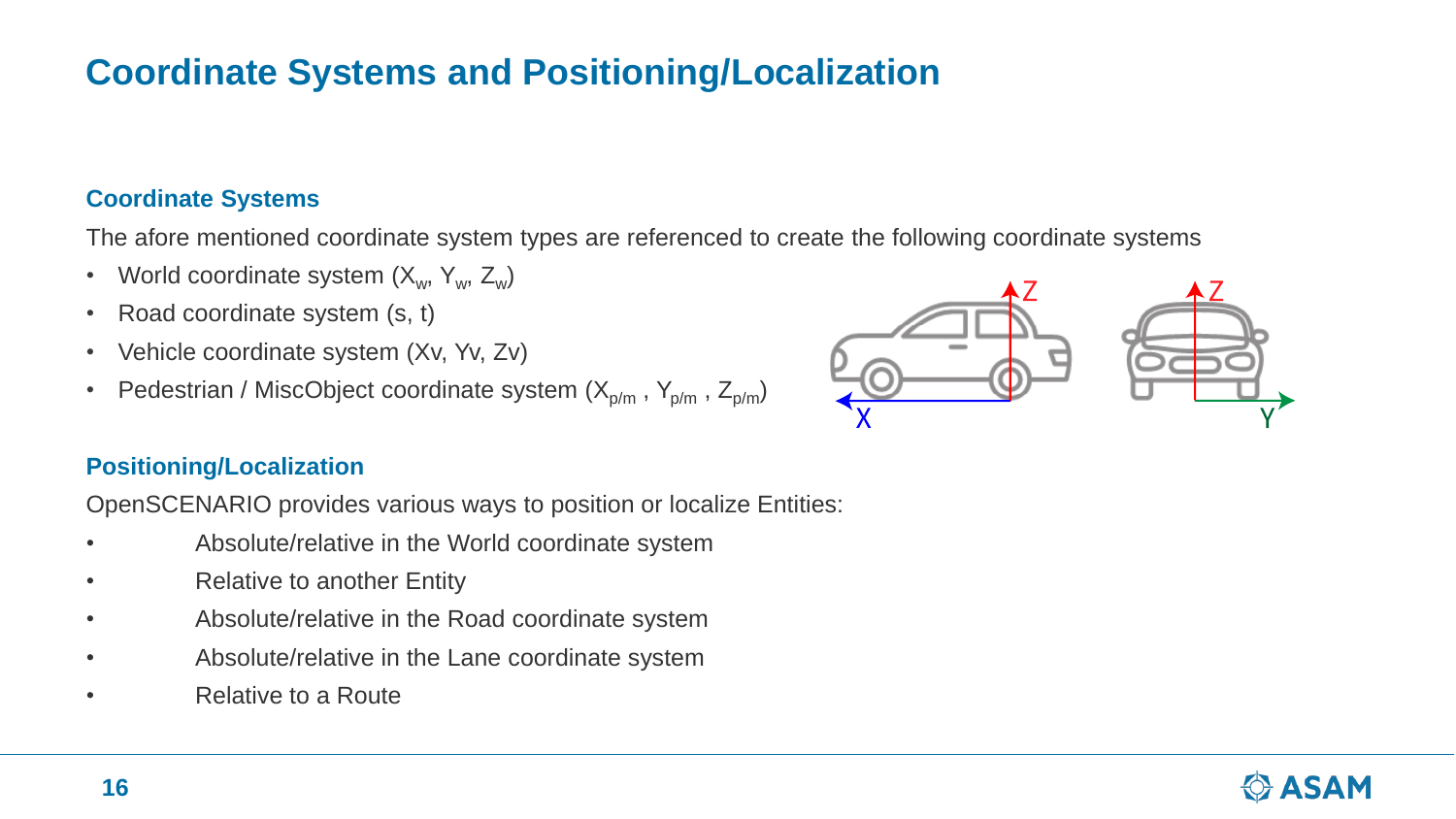# **Coordinate Systems and Positioning/Localization**

#### **Coordinate Systems**

The afore mentioned coordinate system types are referenced to create the following coordinate systems

- World coordinate system  $(X_w, Y_w, Z_w)$
- Road coordinate system (s, t)
- Vehicle coordinate system (Xv, Yv, Zv)
- Pedestrian / MiscObject coordinate system  $(X_{p/m}, Y_{p/m}, Z_{p/m})$

#### **Positioning/Localization**

OpenSCENARIO provides various ways to position or localize Entities:

- Absolute/relative in the World coordinate system
- Relative to another Entity
- Absolute/relative in the Road coordinate system
- Absolute/relative in the Lane coordinate system
- **Relative to a Route**



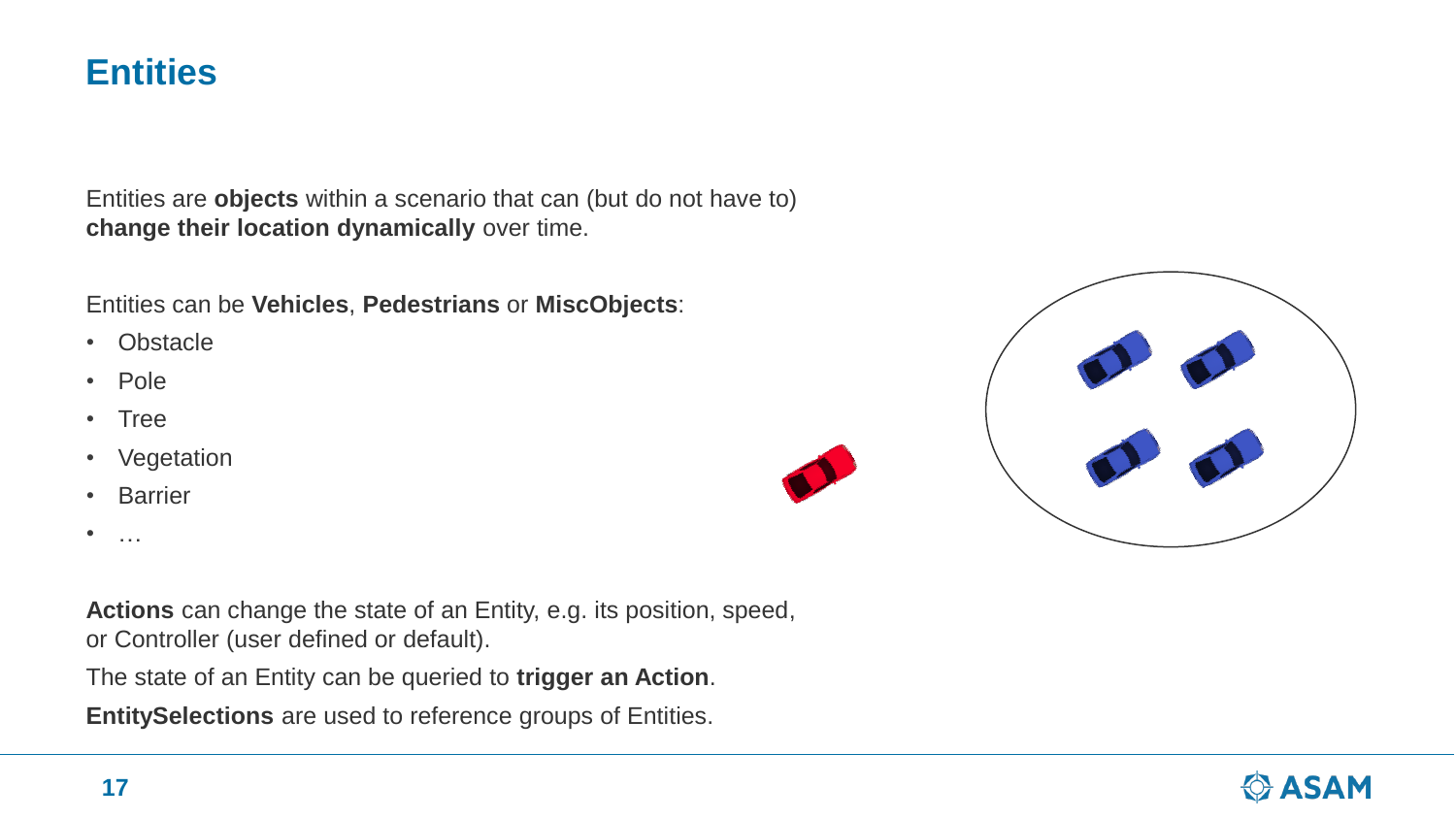### **Entities**

Entities are **objects** within a scenario that can (but do not have to) **change their location dynamically** over time.

Entities can be **Vehicles**, **Pedestrians** or **MiscObjects**:

- Obstacle
- Pole
- Tree
- Vegetation
- Barrier
- $\bullet$  ……

**Actions** can change the state of an Entity, e.g. its position, speed, or Controller (user defined or default).

The state of an Entity can be queried to **trigger an Action**.

**EntitySelections** are used to reference groups of Entities.



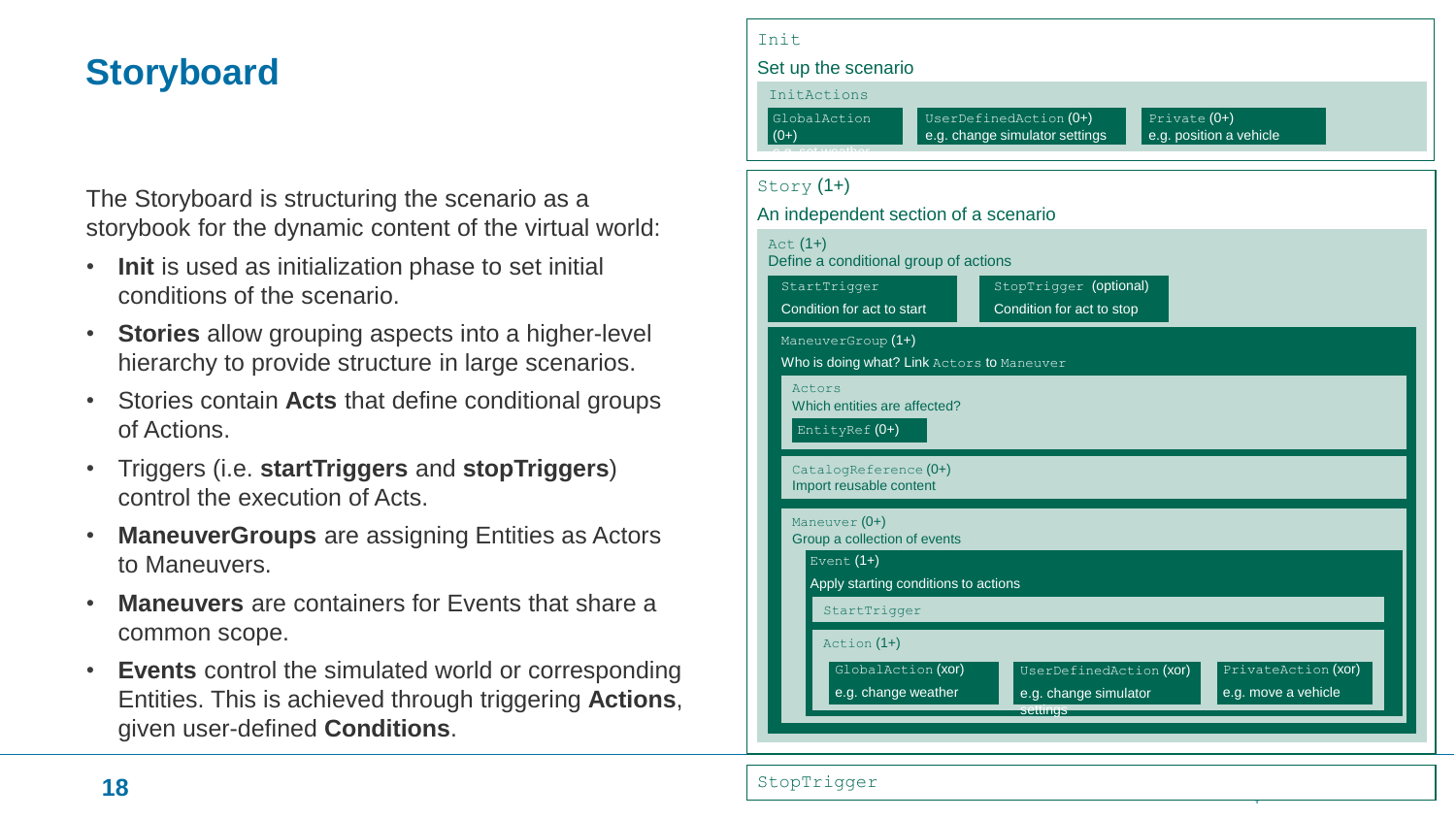# **Storyboard**

The Storyboard is structuring the scenario as a storybook for the dynamic content of the virtual world:

- **Init** is used as initialization phase to set initial conditions of the scenario.
- **Stories** allow grouping aspects into a higher-level hierarchy to provide structure in large scenarios.
- Stories contain **Acts** that define conditional groups of Actions.
- Triggers (i.e. **startTriggers** and **stopTriggers**) control the execution of Acts.
- **ManeuverGroups** are assigning Entities as Actors to Maneuvers.
- **Maneuvers** are containers for Events that share a common scope.
- **Events** control the simulated world or corresponding Entities. This is achieved through triggering **Actions**, given user-defined **Conditions**.

| Init                                                                                                                                                    |  |  |  |  |
|---------------------------------------------------------------------------------------------------------------------------------------------------------|--|--|--|--|
| Set up the scenario                                                                                                                                     |  |  |  |  |
| InitActions<br>GlobalAction<br>UserDefinedAction (0+)<br>Private $(0+)$<br>e.g. change simulator settings<br>e.g. position a vehicle<br>$(0+)$          |  |  |  |  |
| Story $(1+)$                                                                                                                                            |  |  |  |  |
| An independent section of a scenario                                                                                                                    |  |  |  |  |
| $Act(1+)$<br>Define a conditional group of actions                                                                                                      |  |  |  |  |
| StopTrigger (optional)<br>StartTrigger<br>Condition for act to start<br>Condition for act to stop                                                       |  |  |  |  |
| ManeuverGroup (1+)<br>Who is doing what? Link Actors to Maneuver                                                                                        |  |  |  |  |
| Actors<br>Which entities are affected?<br>EntityRef (0+)                                                                                                |  |  |  |  |
| CatalogReference (0+)<br>Import reusable content                                                                                                        |  |  |  |  |
| Maneuver (0+)<br>Group a collection of events                                                                                                           |  |  |  |  |
| Event $(1+)$<br>Apply starting conditions to actions                                                                                                    |  |  |  |  |
| StartTrigger                                                                                                                                            |  |  |  |  |
| Action (1+)                                                                                                                                             |  |  |  |  |
| GlobalAction (xor)<br>PrivateAction (xor)<br>UserDefinedAction (XOI)<br>e.g. change weather<br>e.g. change simulator<br>e.g. move a vehicle<br>settings |  |  |  |  |
|                                                                                                                                                         |  |  |  |  |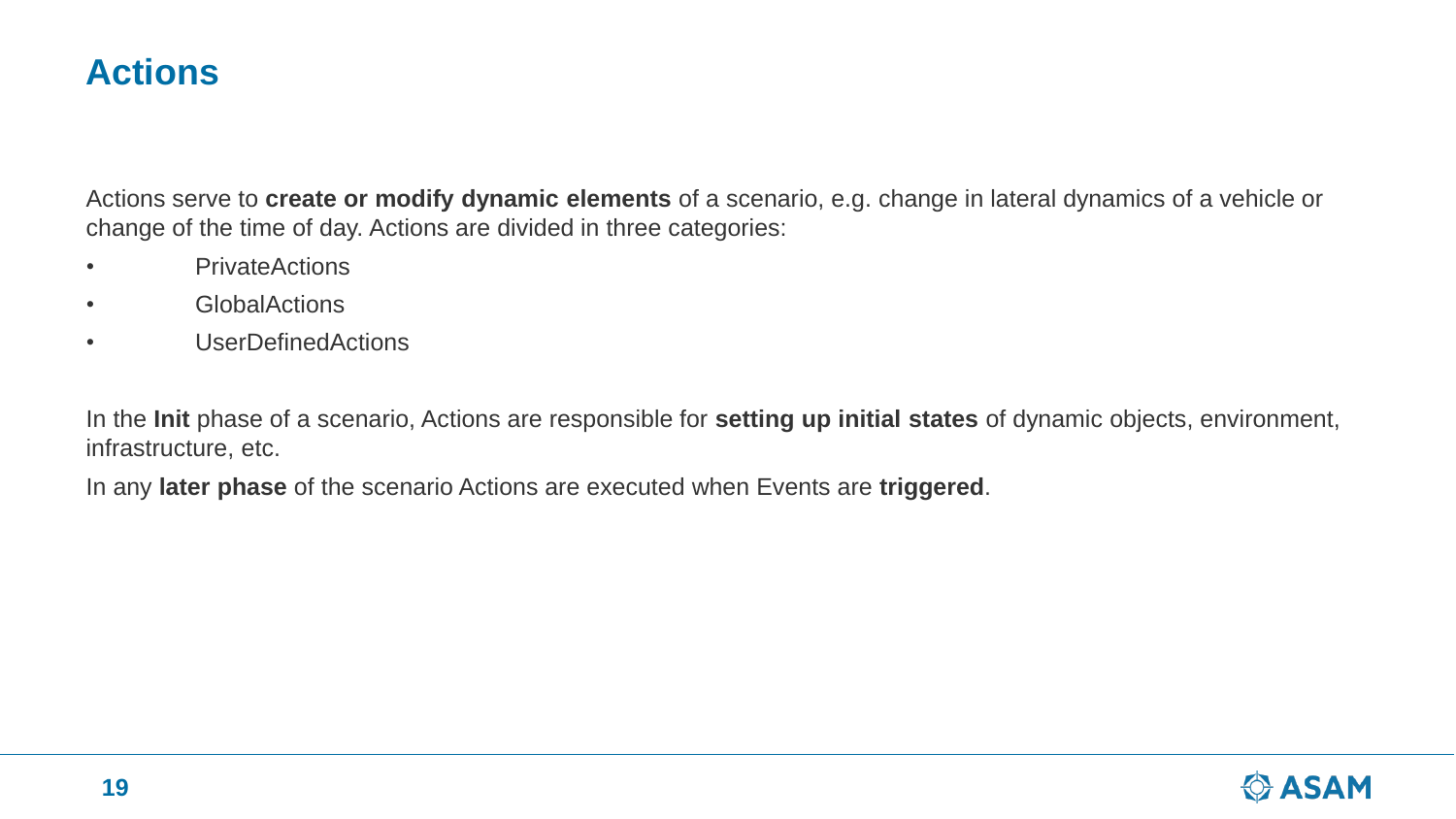### **Actions**

Actions serve to **create or modify dynamic elements** of a scenario, e.g. change in lateral dynamics of a vehicle or change of the time of day. Actions are divided in three categories:

- PrivateActions
- GlobalActions
- UserDefinedActions

In the **Init** phase of a scenario, Actions are responsible for **setting up initial states** of dynamic objects, environment, infrastructure, etc.

In any **later phase** of the scenario Actions are executed when Events are **triggered**.

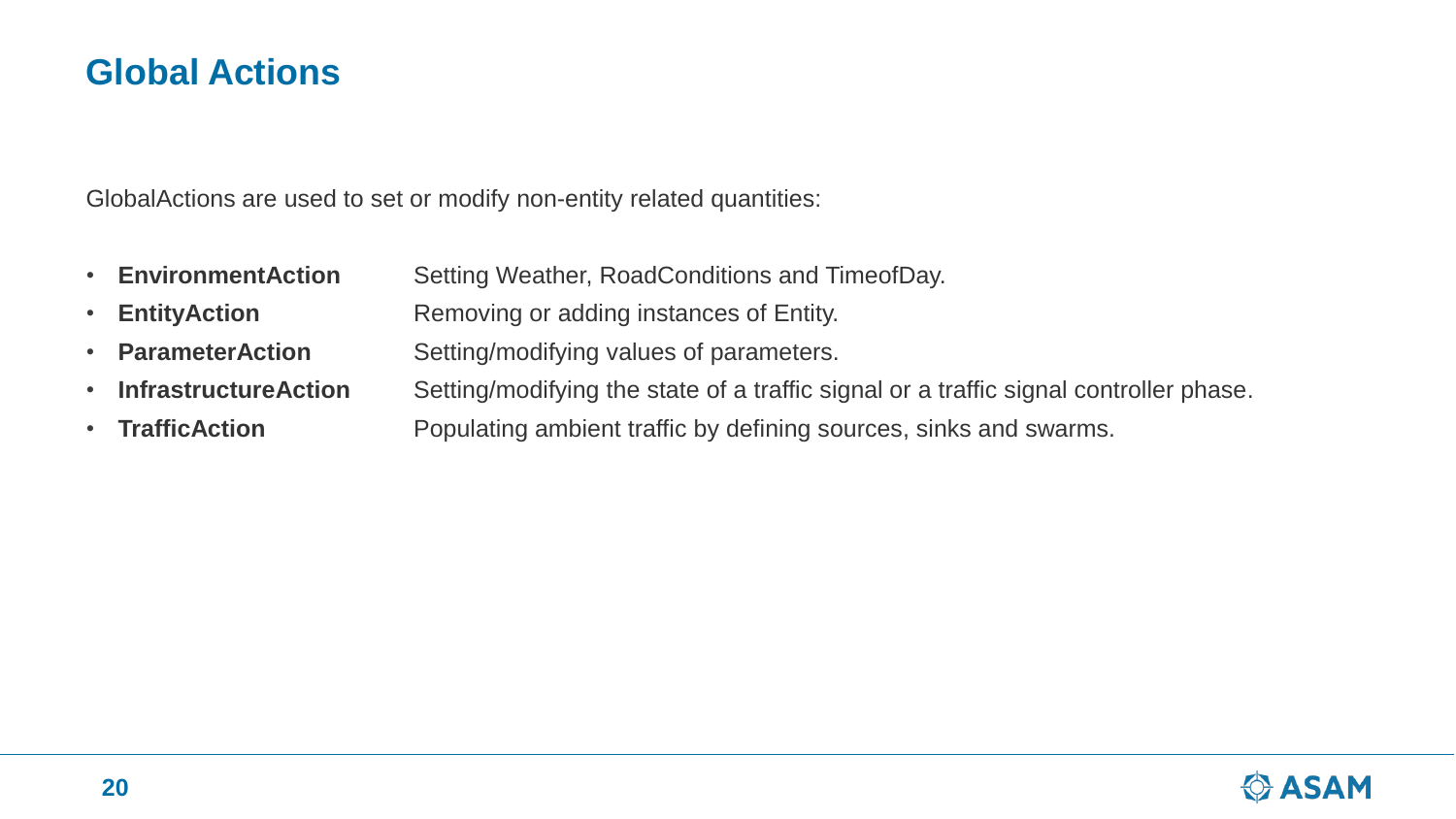### **Global Actions**

GlobalActions are used to set or modify non-entity related quantities:

- **EnvironmentAction** Setting Weather, RoadConditions and TimeofDay.
- **EntityAction Removing or adding instances of Entity.**
- **ParameterAction** Setting/modifying values of parameters.
- **InfrastructureAction** Setting/modifying the state of a traffic signal or a traffic signal controller phase.
- **TrafficAction Populating ambient traffic by defining sources, sinks and swarms.**

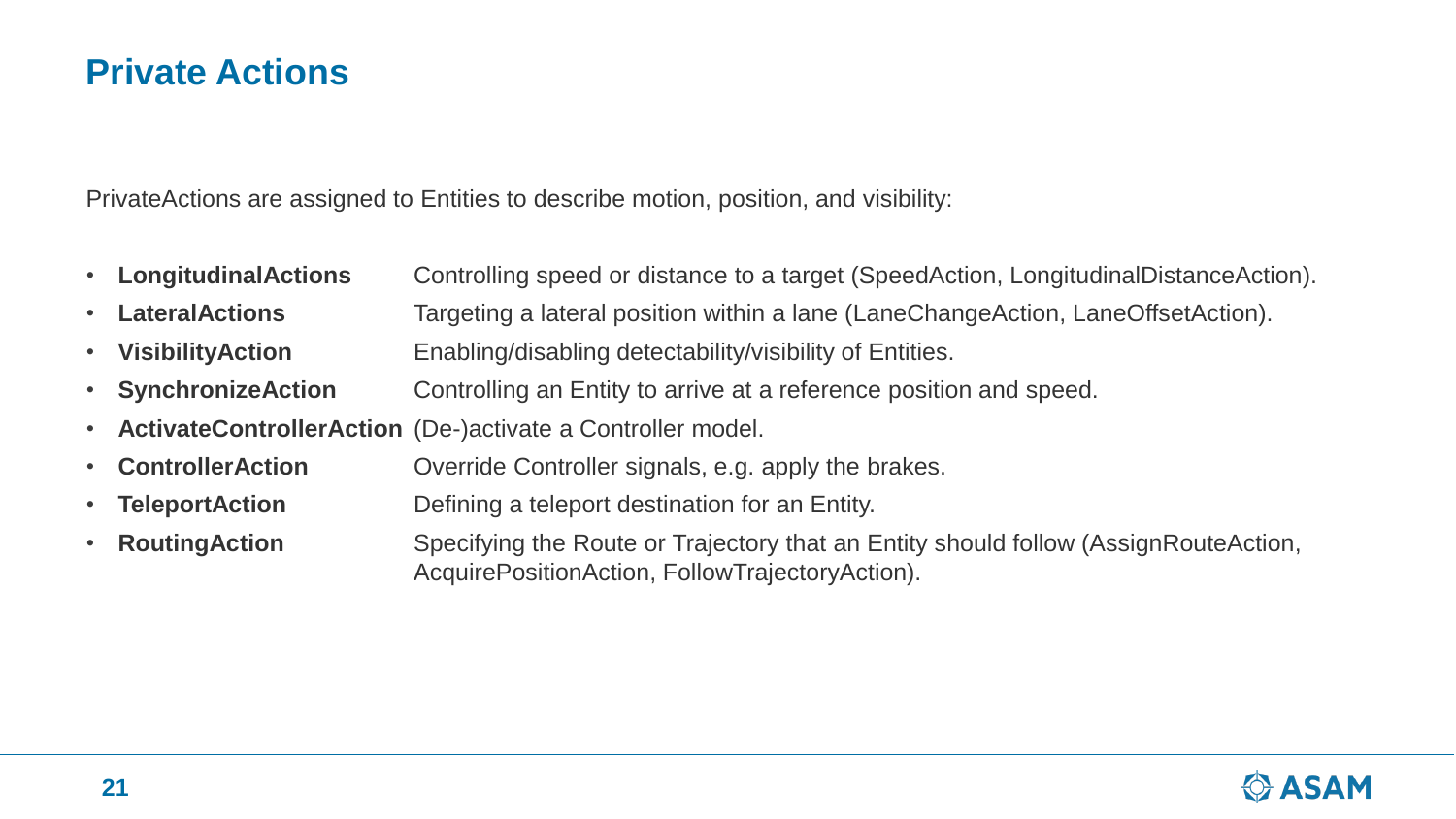### **Private Actions**

PrivateActions are assigned to Entities to describe motion, position, and visibility:

- **LongitudinalActions** Controlling speed or distance to a target (SpeedAction, LongitudinalDistanceAction).
- **LateralActions** Targeting a lateral position within a lane (LaneChangeAction, LaneOffsetAction).
- **VisibilityAction** Enabling/disabling detectability/visibility of Entities.
- **SynchronizeAction** Controlling an Entity to arrive at a reference position and speed.
- **ActivateControllerAction** (De-)activate a Controller model.
- **ControllerAction Override Controller signals, e.g. apply the brakes.**
- **TeleportAction Defining a teleport destination for an Entity.**
- **RoutingAction** Specifying the Route or Trajectory that an Entity should follow (AssignRouteAction, AcquirePositionAction, FollowTrajectoryAction).

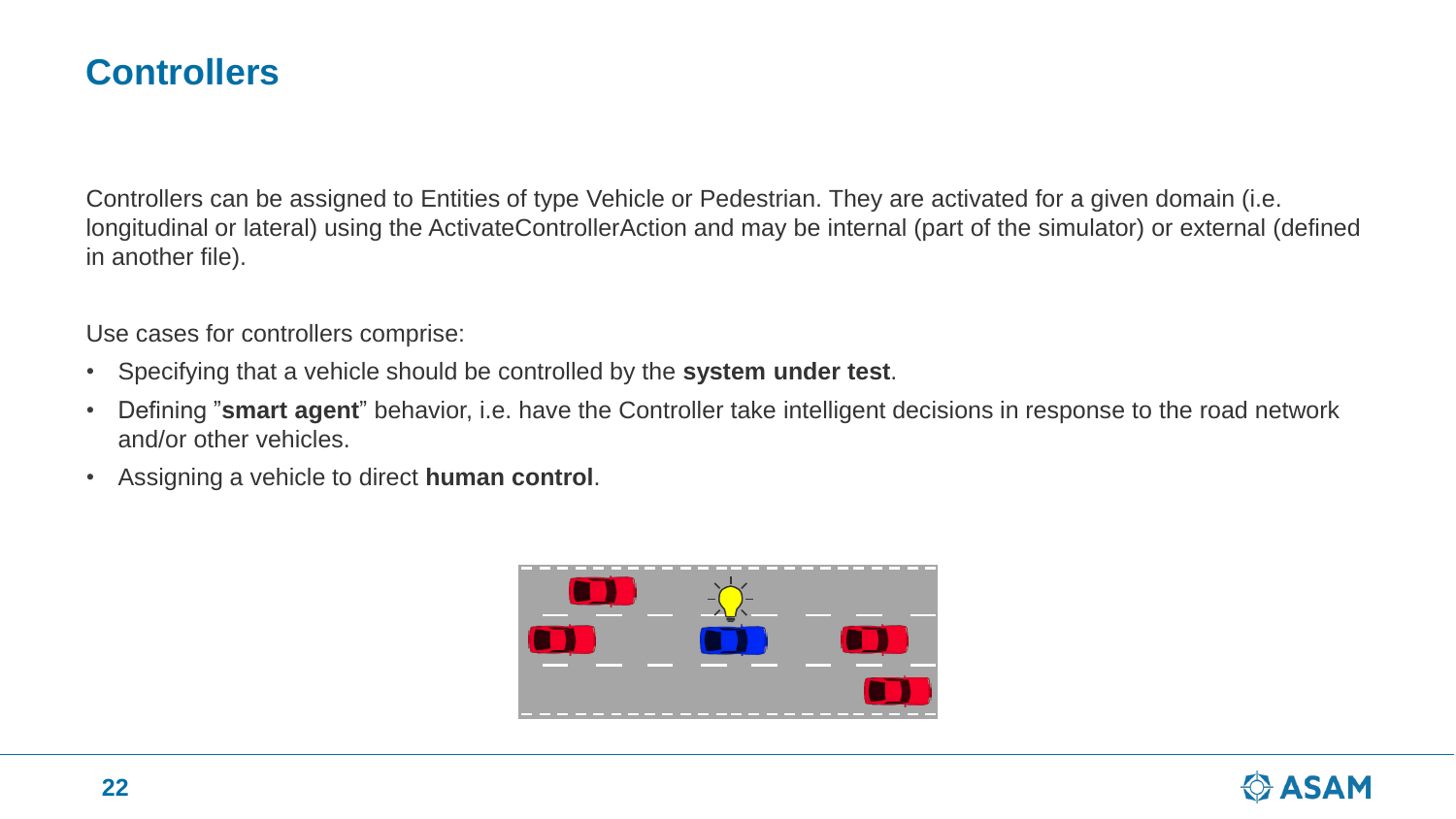### **Controllers**

Controllers can be assigned to Entities of type Vehicle or Pedestrian. They are activated for a given domain (i.e. longitudinal or lateral) using the ActivateControllerAction and may be internal (part of the simulator) or external (defined in another file).

Use cases for controllers comprise:

- Specifying that a vehicle should be controlled by the **system under test**.
- Defining "**smart agent**" behavior, i.e. have the Controller take intelligent decisions in response to the road network and/or other vehicles.
- Assigning a vehicle to direct **human control**.



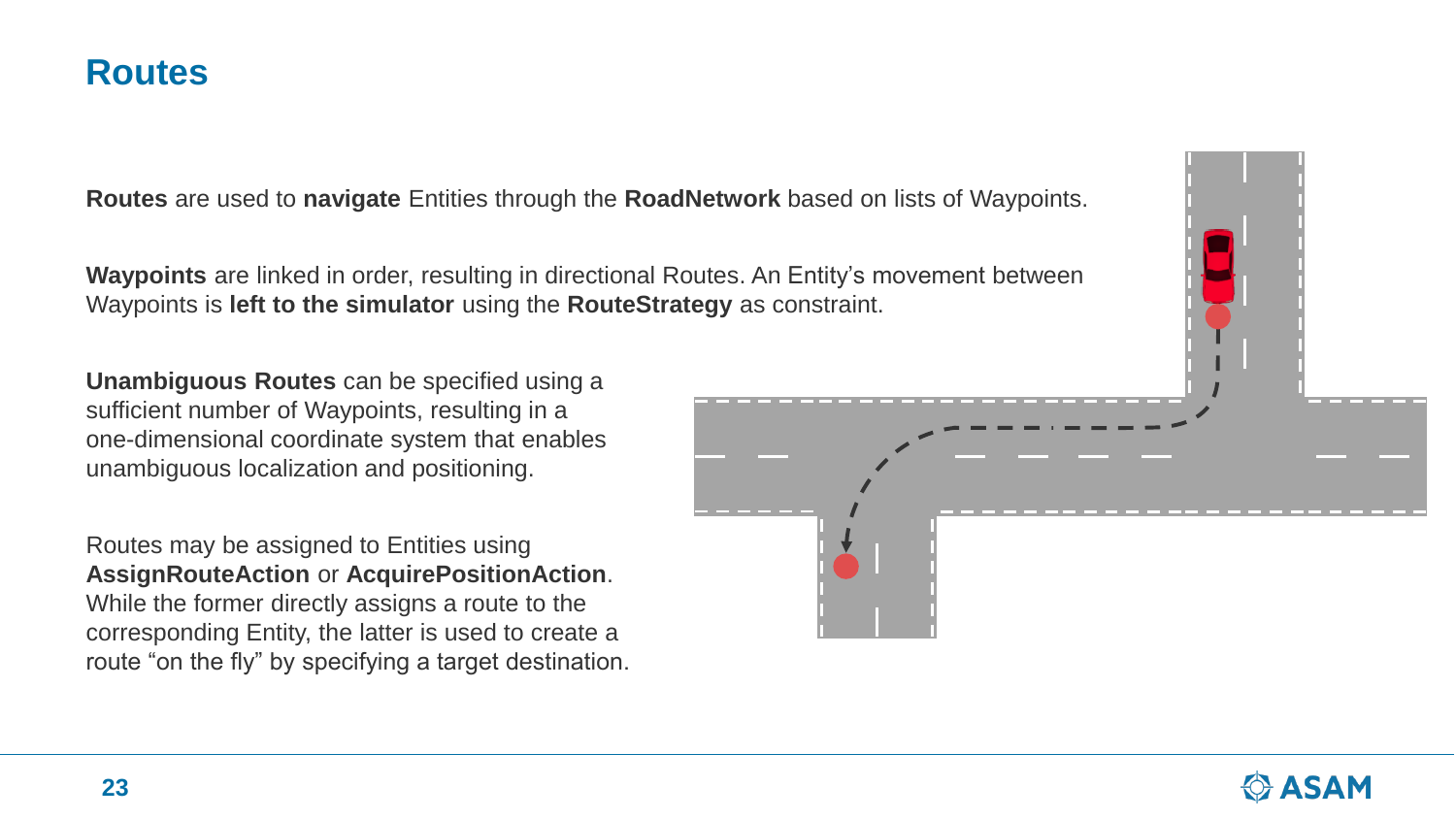### **Routes**

**Routes** are used to **navigate** Entities through the **RoadNetwork** based on lists of Waypoints.

**Waypoints** are linked in order, resulting in directional Routes. An Entity's movement between Waypoints is **left to the simulator** using the **RouteStrategy** as constraint.

**Unambiguous Routes** can be specified using a sufficient number of Waypoints, resulting in a one-dimensional coordinate system that enables unambiguous localization and positioning.

Routes may be assigned to Entities using **AssignRouteAction** or **AcquirePositionAction**. While the former directly assigns a route to the corresponding Entity, the latter is used to create a route "on the fly" by specifying a target destination.



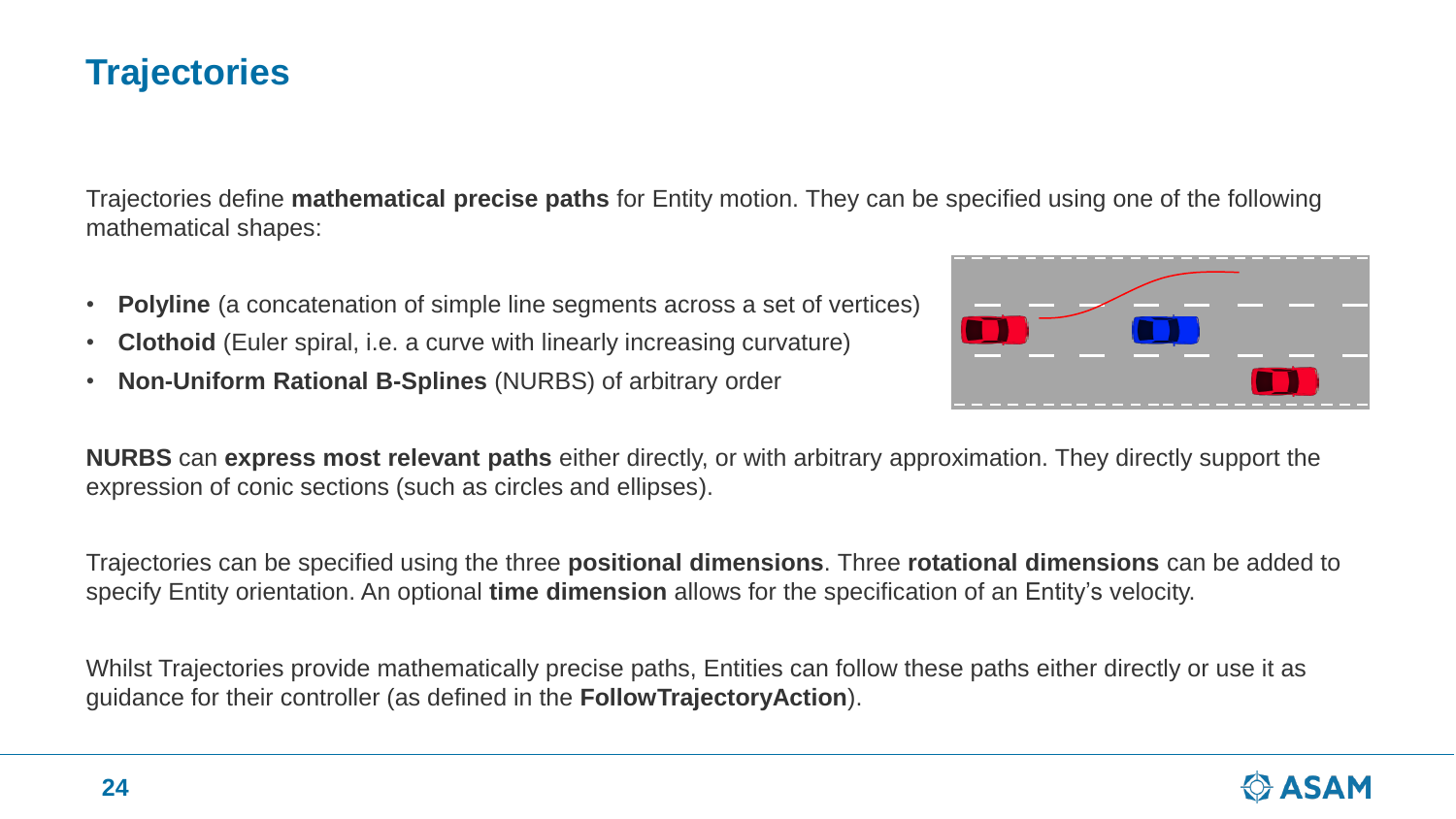# **Trajectories**

Trajectories define **mathematical precise paths** for Entity motion. They can be specified using one of the following mathematical shapes:

- **Polyline** (a concatenation of simple line segments across a set of vertices)
- **Clothoid** (Euler spiral, i.e. a curve with linearly increasing curvature)
- **Non-Uniform Rational B-Splines** (NURBS) of arbitrary order



**NURBS** can **express most relevant paths** either directly, or with arbitrary approximation. They directly support the expression of conic sections (such as circles and ellipses).

Trajectories can be specified using the three **positional dimensions**. Three **rotational dimensions** can be added to specify Entity orientation. An optional **time dimension** allows for the specification of an Entity's velocity.

Whilst Trajectories provide mathematically precise paths, Entities can follow these paths either directly or use it as guidance for their controller (as defined in the **FollowTrajectoryAction**).

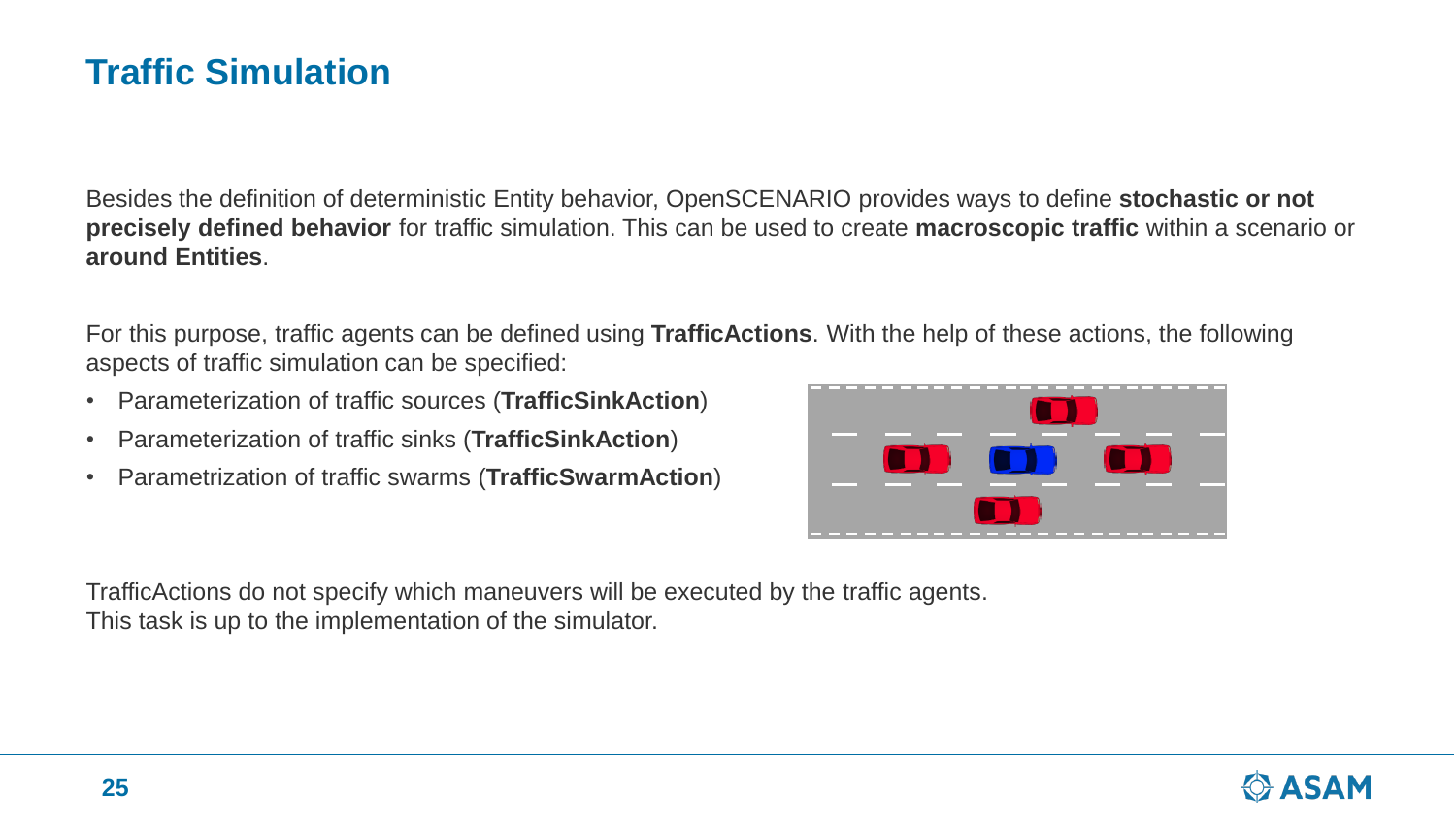### **Traffic Simulation**

Besides the definition of deterministic Entity behavior, OpenSCENARIO provides ways to define **stochastic or not precisely defined behavior** for traffic simulation. This can be used to create **macroscopic traffic** within a scenario or **around Entities**.

For this purpose, traffic agents can be defined using **TrafficActions**. With the help of these actions, the following aspects of traffic simulation can be specified:

- Parameterization of traffic sources (**TrafficSinkAction**)
- Parameterization of traffic sinks (**TrafficSinkAction**)
- Parametrization of traffic swarms (**TrafficSwarmAction**)



TrafficActions do not specify which maneuvers will be executed by the traffic agents. This task is up to the implementation of the simulator.

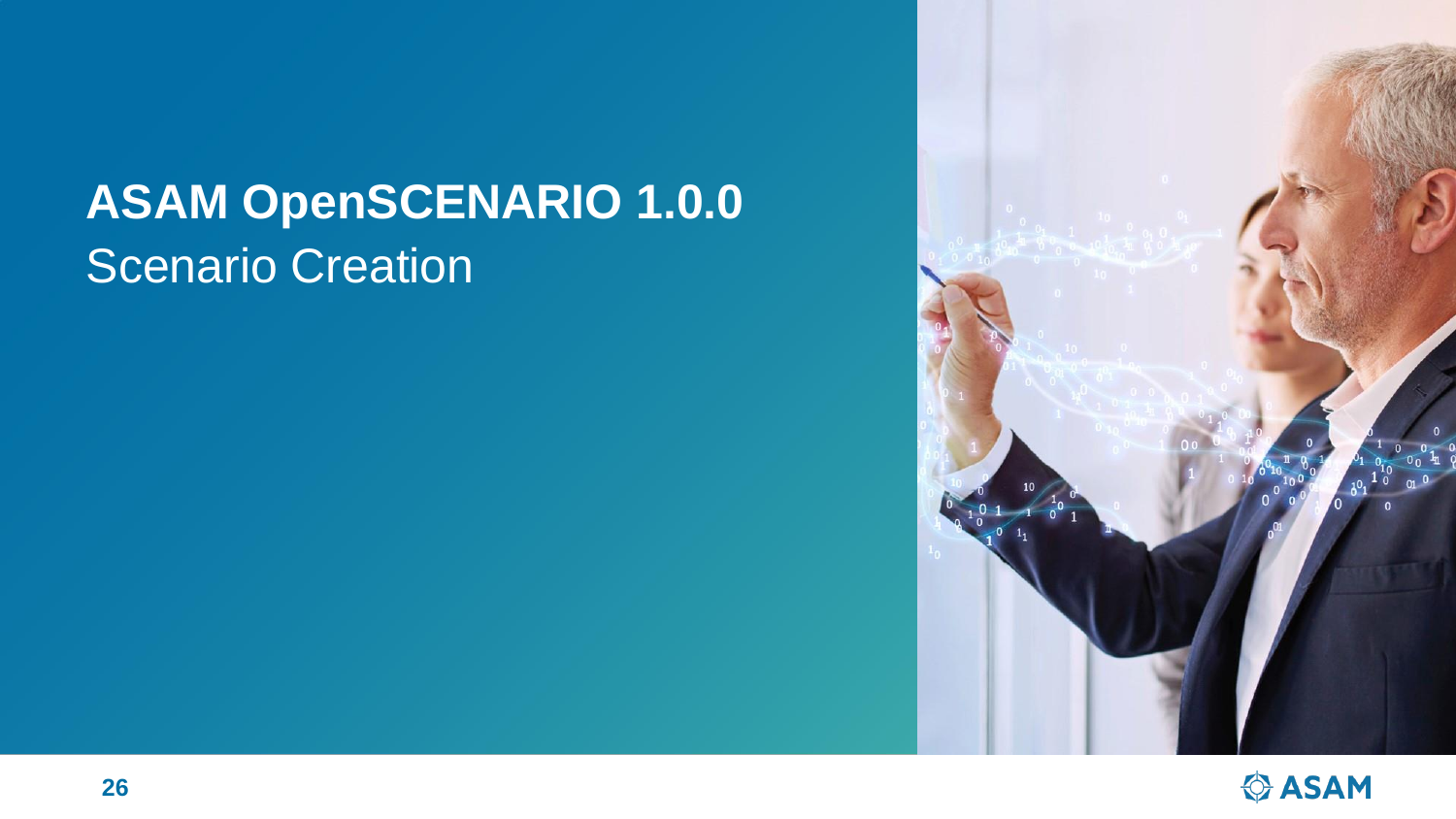# **ASAM OpenSCENARIO 1.0.0** Scenario Creation



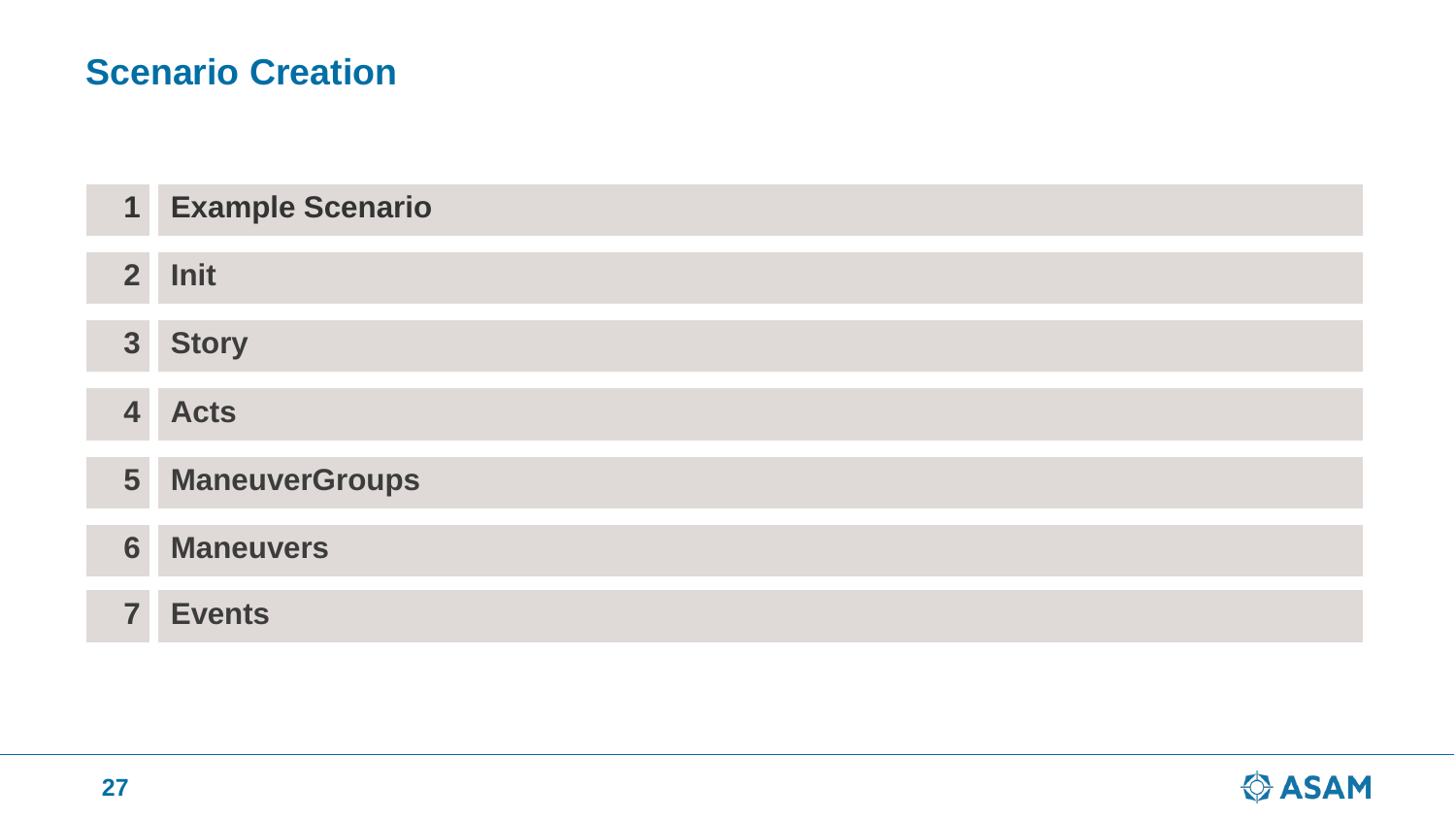# **Scenario Creation**

| $\overline{\mathbf{1}}$ | <b>Example Scenario</b> |
|-------------------------|-------------------------|
| $\overline{2}$          | Init                    |
| 3 <sup>1</sup>          | <b>Story</b>            |
| $\overline{\mathbf{4}}$ | <b>Acts</b>             |
| 5 <sup>5</sup>          | <b>ManeuverGroups</b>   |
| 6                       | <b>Maneuvers</b>        |
| $\overline{\mathbf{z}}$ | <b>Events</b>           |

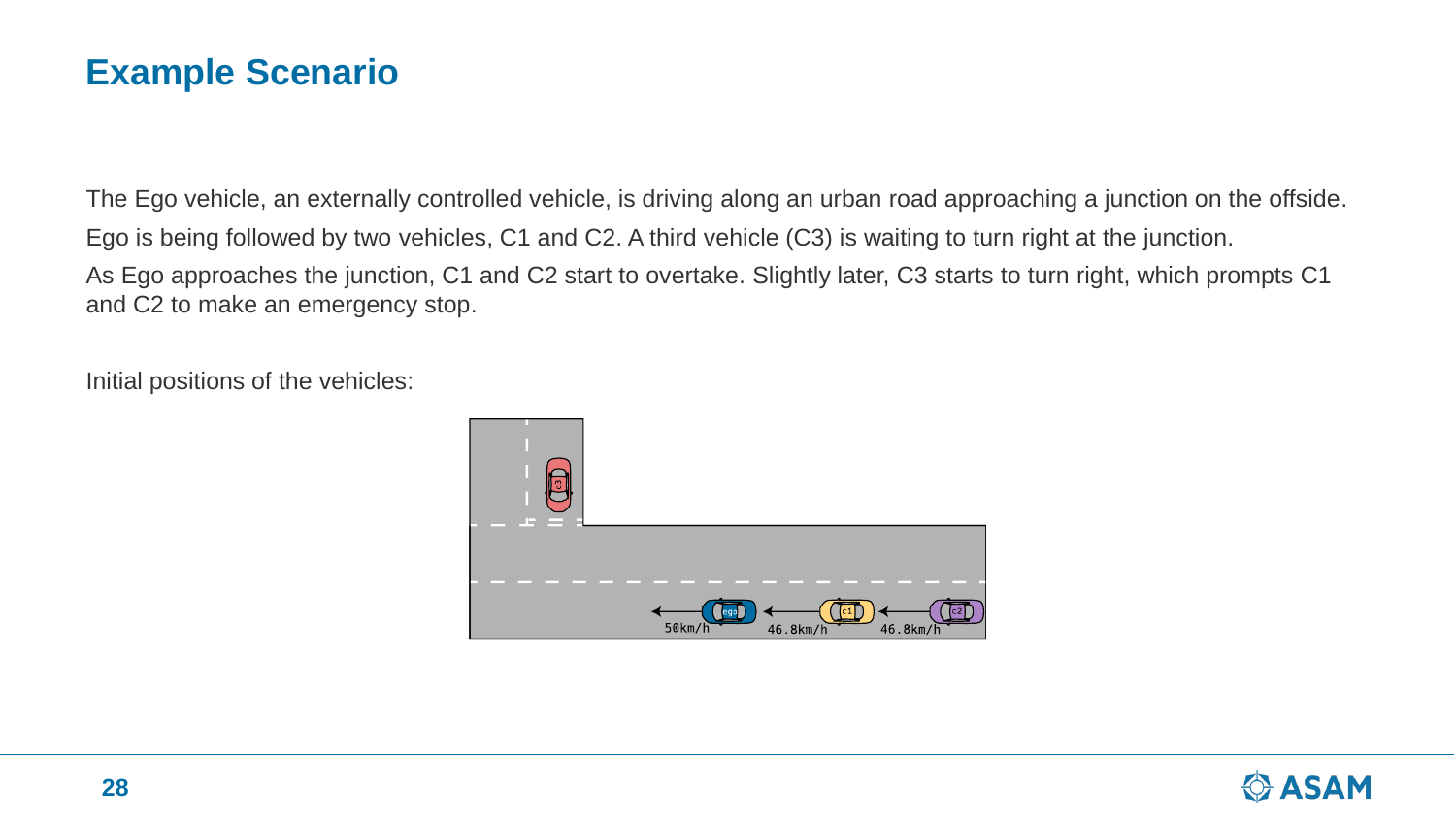### **Example Scenario**

The Ego vehicle, an externally controlled vehicle, is driving along an urban road approaching a junction on the offside. Ego is being followed by two vehicles, C1 and C2. A third vehicle (C3) is waiting to turn right at the junction. As Ego approaches the junction, C1 and C2 start to overtake. Slightly later, C3 starts to turn right, which prompts C1 and C2 to make an emergency stop.

Initial positions of the vehicles:



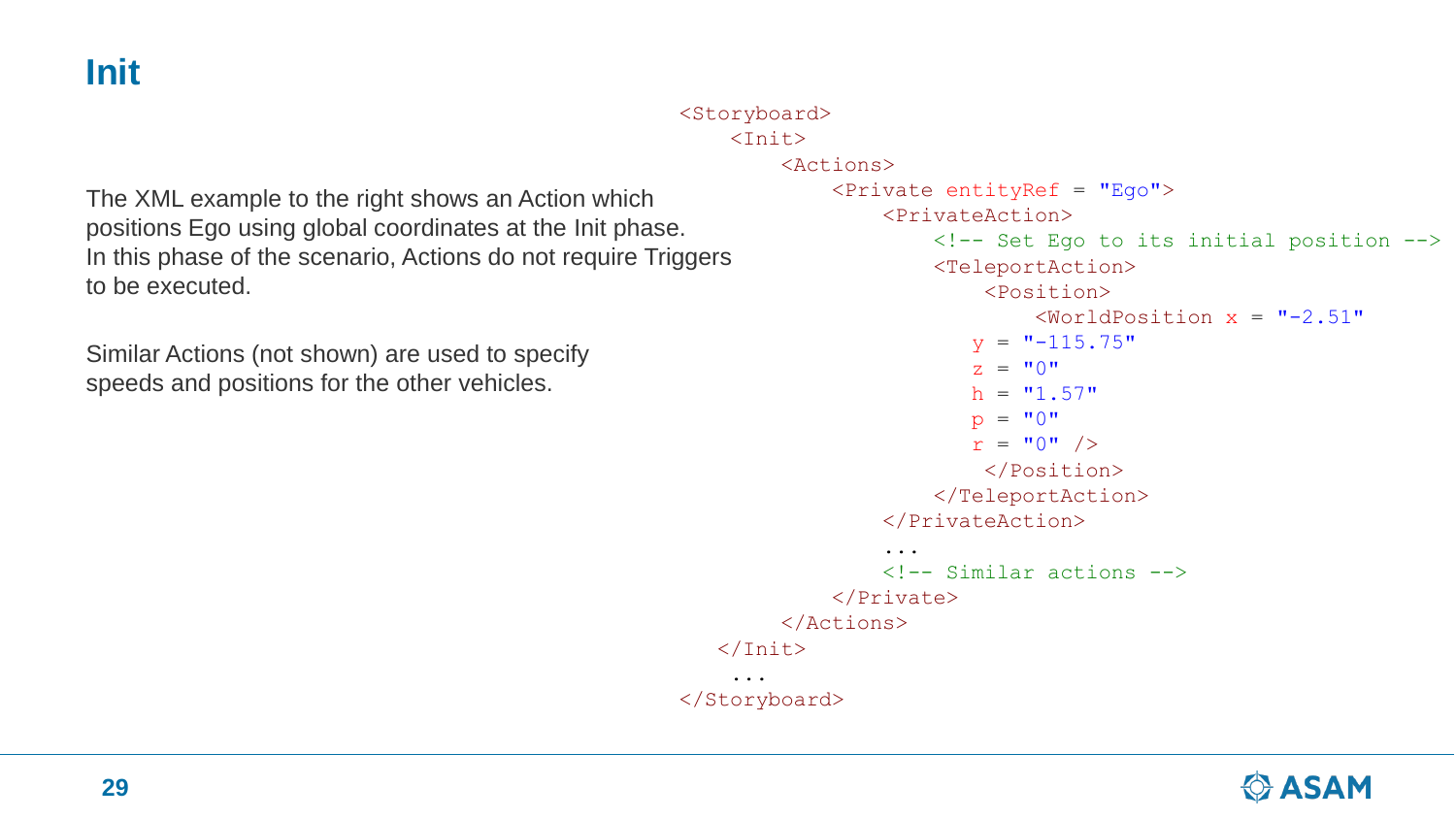**Init**

```
<Storyboard>
    <Init><Actions>
            <Private entityRef = "Ego">
                 <PrivateAction>
                     <!-- Set Ego to its initial position -->
                     <TeleportAction>
                         <Position>
                              \forallWorldPosition x = "-2.51"
                        y = "-115.75"
                         Z = "0"h = "1.57"p = "0"r = "0" />
                         </Position>
                     </TeleportAction>
                 </PrivateAction>
                 ...
                 \langle!-- Similar actions -->
            </Private>
        </Actions>
   \langleInit\rangle...
</Storyboard>
```
The XML example to the right shows an Action which positions Ego using global coordinates at the Init phase. In this phase of the scenario, Actions do not require Triggers to be executed.

Similar Actions (not shown) are used to specify speeds and positions for the other vehicles.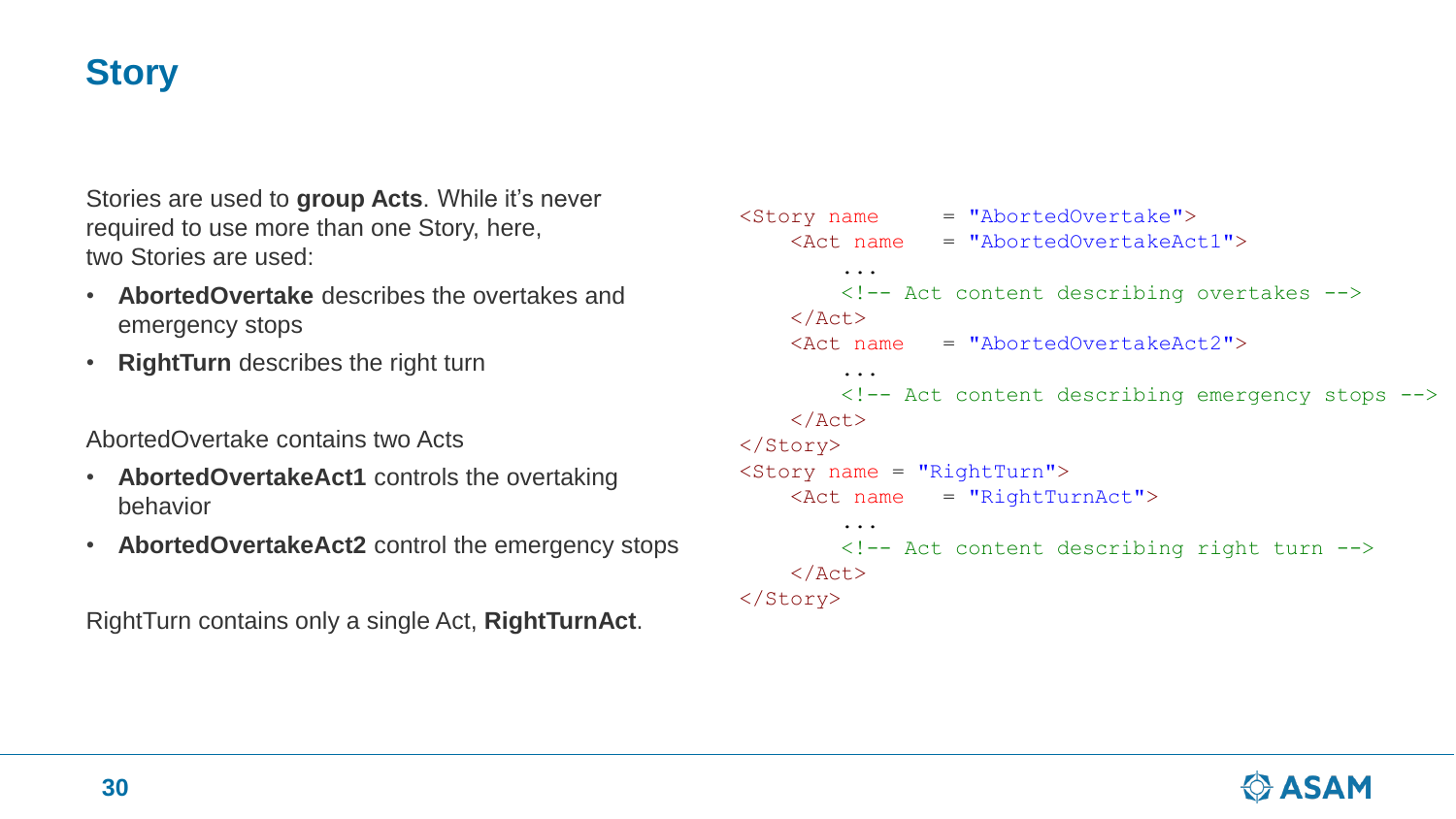# **Story**

Stories are used to **group Acts**. While it's never required to use more than one Story, here, two Stories are used:

- **AbortedOvertake** describes the overtakes and emergency stops
- **RightTurn** describes the right turn

AbortedOvertake contains two Acts

- **AbortedOvertakeAct1** controls the overtaking behavior
- **AbortedOvertakeAct2** control the emergency stops

RightTurn contains only a single Act, **RightTurnAct**.

```
<Story name = "AbortedOvertake">
    <Act name = "AbortedOvertakeAct1">
          ...
         <!-- Act content describing overtakes -->
    \langleAct\rangle\langle \text{Act} \rangle name = "AbortedOvertakeAct2">
          ...
         <!-- Act content describing emergency stops -->
    \langleAct\rangle</Story>
<Story name = "RightTurn">
    \langle \text{Act name} = "RightTurnAct" \rangle...
         <!-- Act content describing right turn -->
    \langleAct>
</Story>
```
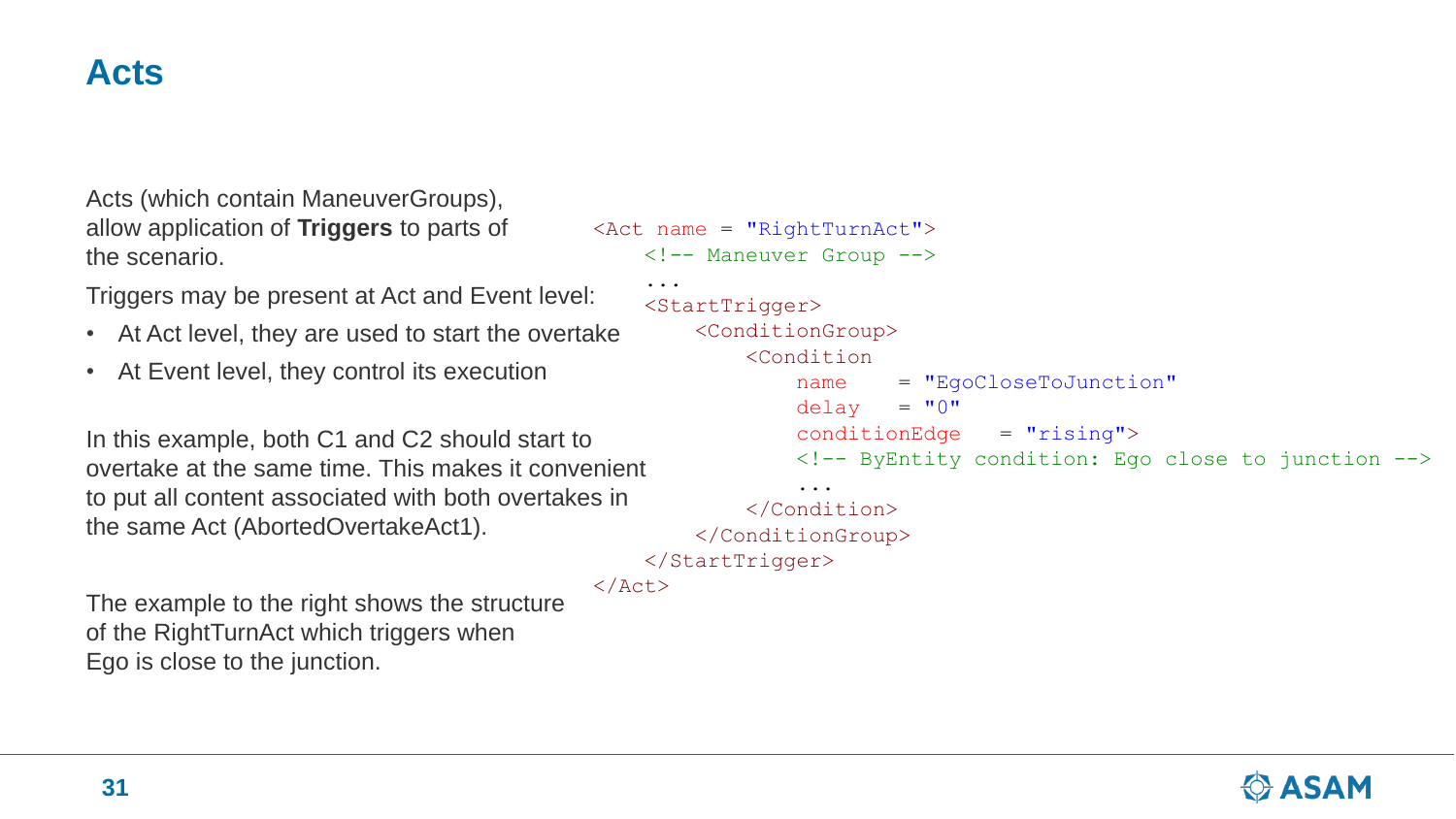### **Acts**

Acts (which contain ManeuverGroups), allow application of **Triggers** to parts of the scenario.

Triggers may be present at Act and Event level:

- At Act level, they are used to start the overtake
- At Event level, they control its execution

```
In this example, both C1 and C2 should start to
overtake at the same time. This makes it convenient
to put all content associated with both overtakes in
the same Act (AbortedOvertakeAct1).
```
<Act name = "RightTurnAct"> <!-- Maneuver Group --> <StartTrigger> <ConditionGroup> <Condition name = "EgoCloseToJunction"  $delay = "0"$ conditionEdge = "rising"> <!-- ByEntity condition: Ego close to junction --> ... </Condition> </ConditionGroup> </StartTrigger>

 $\langle$ Act $\rangle$ 

...

The example to the right shows the structure of the RightTurnAct which triggers when Ego is close to the junction.

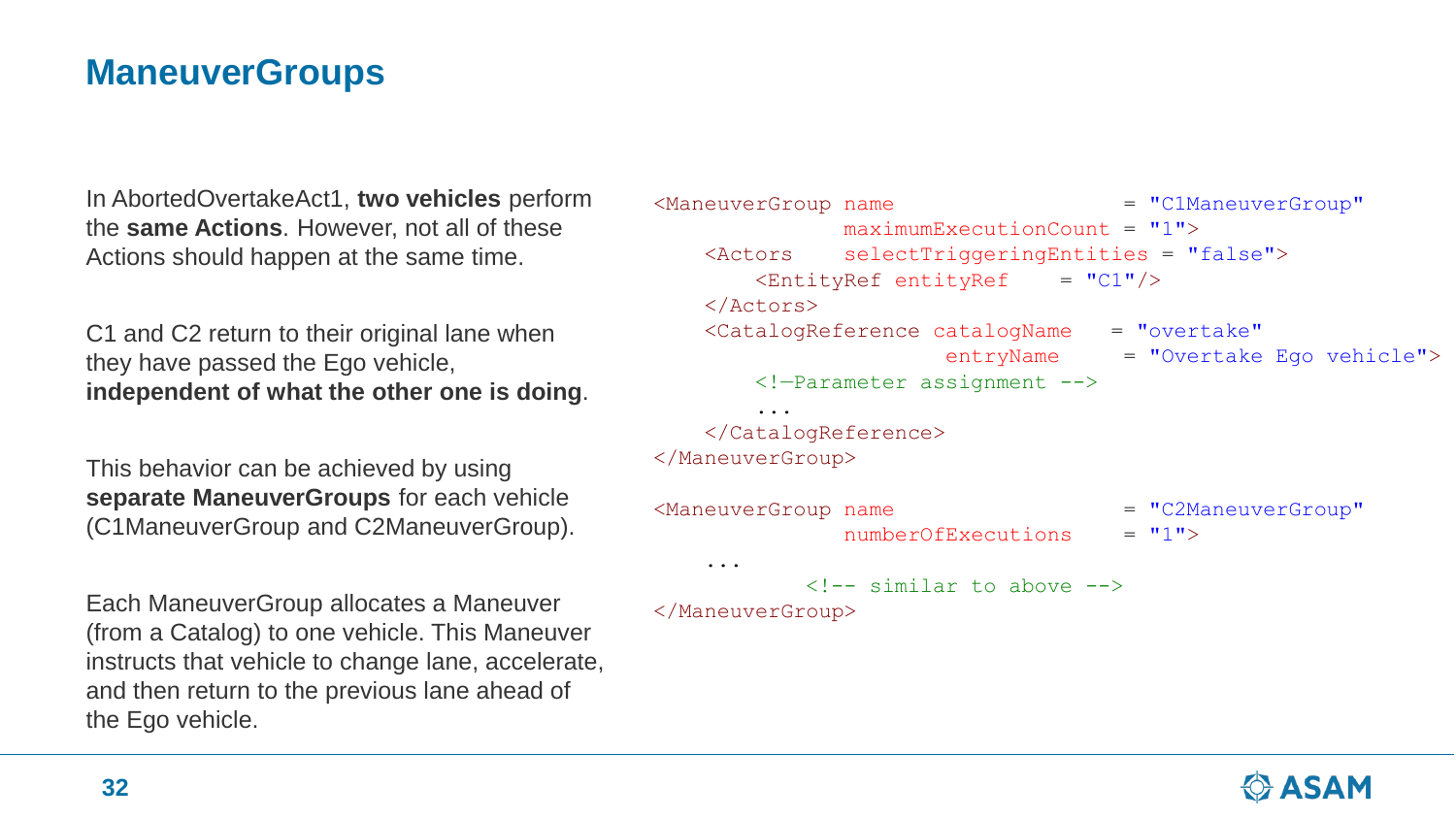# **ManeuverGroups**

In AbortedOvertakeAct1, **two vehicles** perform the **same Actions**. However, not all of these Actions should happen at the same time.

C1 and C2 return to their original lane when they have passed the Ego vehicle, **independent of what the other one is doing**.

This behavior can be achieved by using **separate ManeuverGroups** for each vehicle (C1ManeuverGroup and C2ManeuverGroup).

Each ManeuverGroup allocates a Maneuver (from a Catalog) to one vehicle. This Maneuver instructs that vehicle to change lane, accelerate, and then return to the previous lane ahead of the Ego vehicle.

```
<ManeuverGroup name = "C1ManeuverGroup"
             maximumExceptionCount = "1"<Actors selectTriggeringEntities = "false">
       \text{EntityRef} entityRef = "C1"/>
   </Actors>
   <CatalogReference catalogName = "overtake"
                     entryName = "Overtake Ego vehicle">
       <!—Parameter assignment -->
       ...
   </CatalogReference>
</ManeuverGroup>
<ManeuverGroup name = "C2ManeuverGroup"
             numberOfExceptionS = "1"...
           \langle!-- similar to above -->
</ManeuverGroup>
```
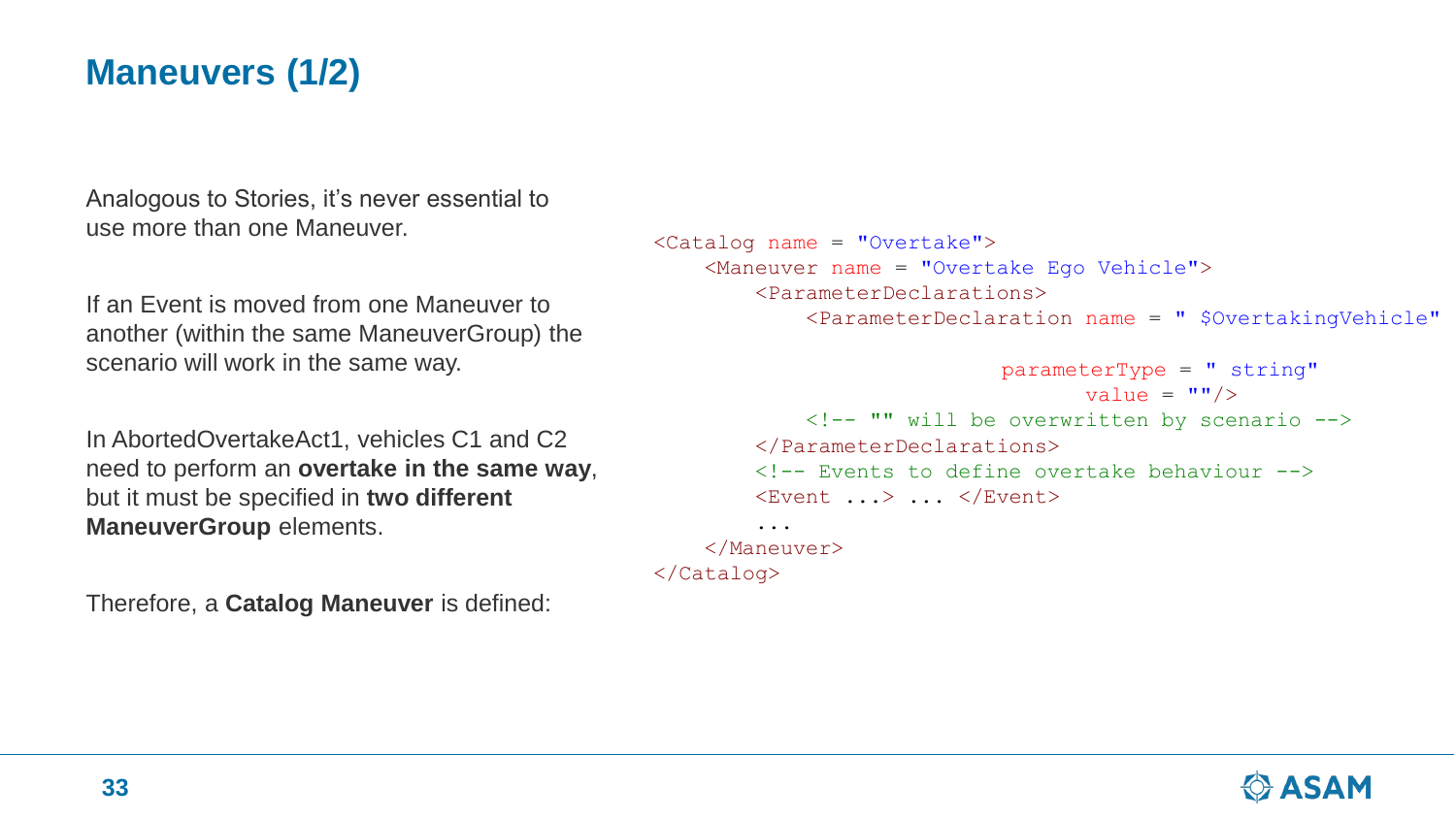# **Maneuvers (1/2)**

Analogous to Stories, it's never essential to use more than one Maneuver.

If an Event is moved from one Maneuver to another (within the same ManeuverGroup) the scenario will work in the same way.

In AbortedOvertakeAct1, vehicles C1 and C2 need to perform an **overtake in the same way**, but it must be specified in **two different ManeuverGroup** elements.

Therefore, a **Catalog Maneuver** is defined:

```
<Catalog name = "Overtake">
    <Maneuver name = "Overtake Ego Vehicle">
        <ParameterDeclarations>
            <ParameterDeclaration name = " $OvertakingVehicle"
                            parameterType = " string"
                                   value = ''' />
            <!-- "" will be overwritten by scenario -->
        </ParameterDeclarations>
        <!-- Events to define overtake behaviour -->
        \langleEvent ...> ... \langle/Event>
        ...
    </Maneuver>
```

```
</Catalog>
```
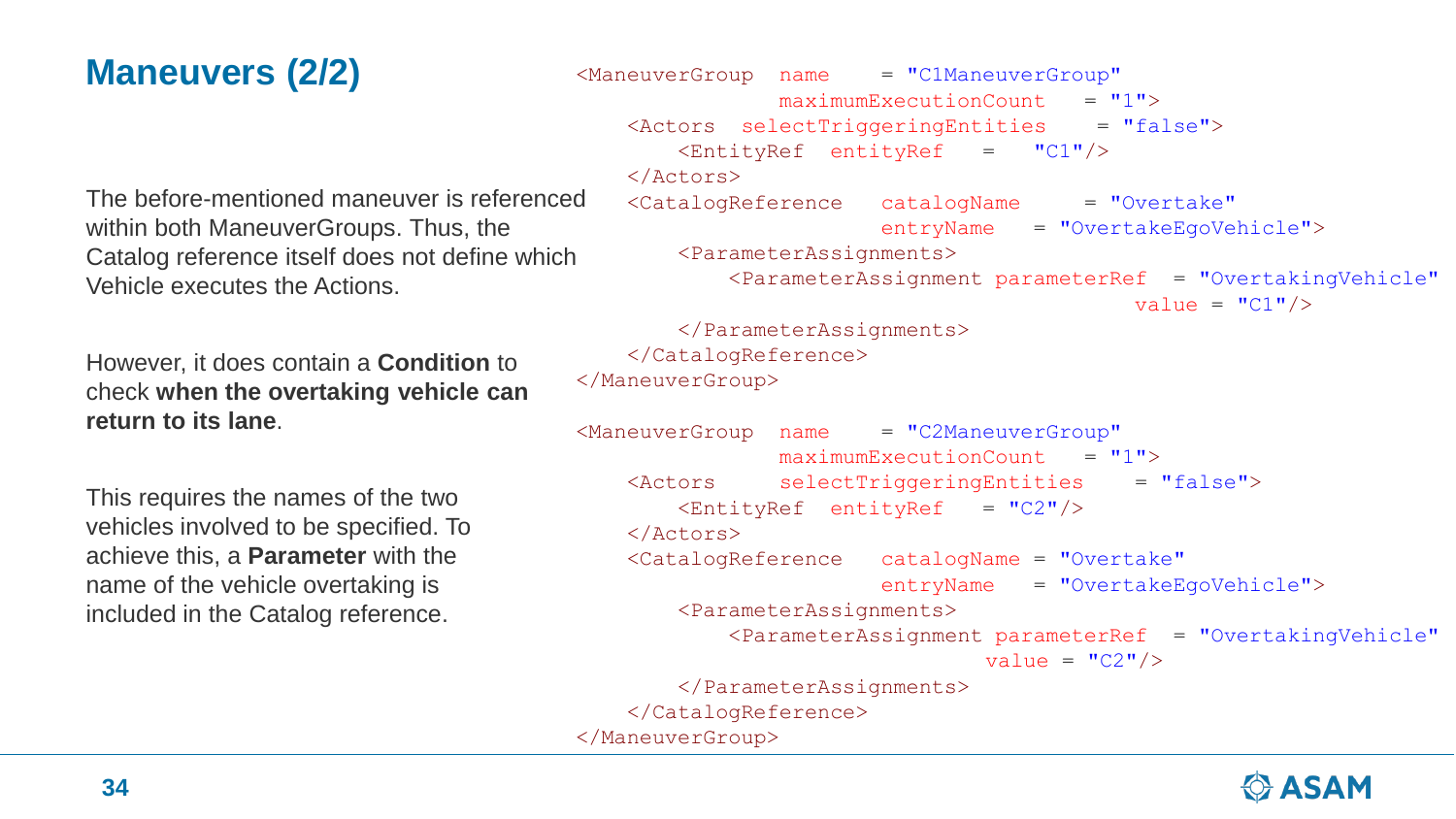# **Maneuvers (2/2)**

The before-mentioned maneuver is referenced within both ManeuverGroups. Thus, the Catalog reference itself does not define which Vehicle executes the Actions.

However, it does contain a **Condition** to check **when the overtaking vehicle can return to its lane**.

This requires the names of the two vehicles involved to be specified. To achieve this, a **Parameter** with the name of the vehicle overtaking is included in the Catalog reference.

```
<ManeuverGroup name = "C1ManeuverGroup"
               maximumExceptionCount = "1"<Actors selectTriggeringEntities = "false">
       \epsilonEntityRef entityRef = "C1"/>
   </Actors>
   <CatalogReference catalogName = "Overtake"
                       entryName = "OvertakeEgoVehicle">
       <ParameterAssignments>
           <ParameterAssignment parameterRef = "OvertakingVehicle"
                                          value = "C1"/>
       </ParameterAssignments>
   </CatalogReference>
</ManeuverGroup>
ManeuverGroup name = "C2ManeuverGroup"
               maximumExceptionCount = "1"<Actors selectTriggeringEntities = "false">
       \text{EntityRef} entityRef = "C2"/>
   </Actors>
   <CatalogReference catalogName = "Overtake"
                       entryName = "OvertakeEgoVehicle">
       <ParameterAssignments>
           <ParameterAssignment parameterRef = "OvertakingVehicle"
                               value = "C2" />
       </ParameterAssignments>
   </CatalogReference>
</ManeuverGroup>
```
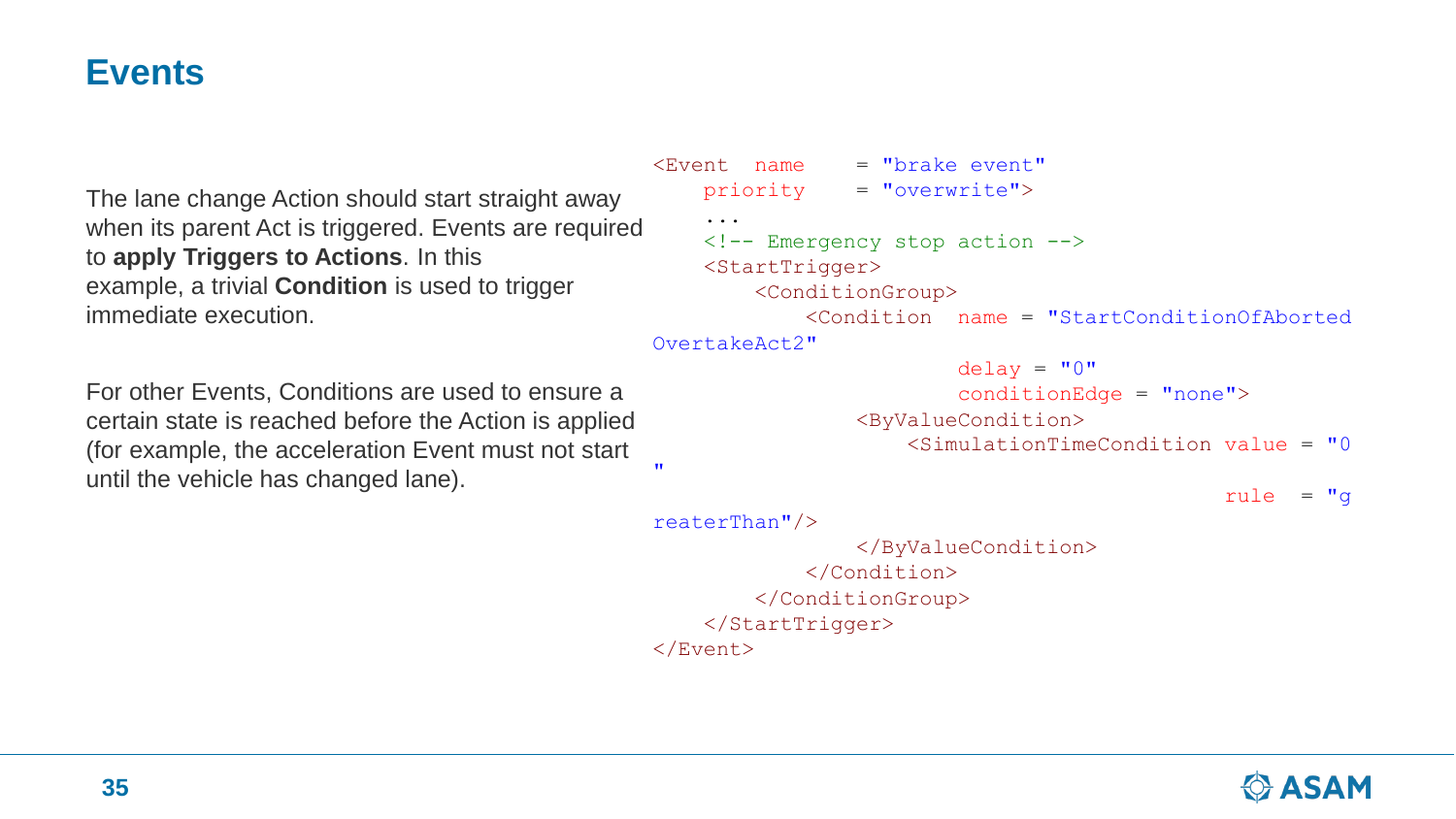### **Events**

The lane change Action should start straight away when its parent Act is triggered. Events are required to **apply Triggers to Actions**. In this example, a trivial **Condition** is used to trigger immediate execution.

For other Events, Conditions are used to ensure a certain state is reached before the Action is applied (for example, the acceleration Event must not start until the vehicle has changed lane).

```
\epsilonEvent name = "brake event"
    priority = "overwrite">
    ...
    <!-- Emergency stop action -->
    <StartTrigger>
        <ConditionGroup>
            <Condition name = "StartConditionOfAborted
OvertakeAct2"
```

```
delay = "0"conditionEdge = "none">
<ByValueCondition>
    \leqSimulationTimeCondition value = "0
```
rule  $= "q$ 

```
reaterThan"/>
```
"

</ByValueCondition> </Condition> </ConditionGroup> </StartTrigger> </Event>